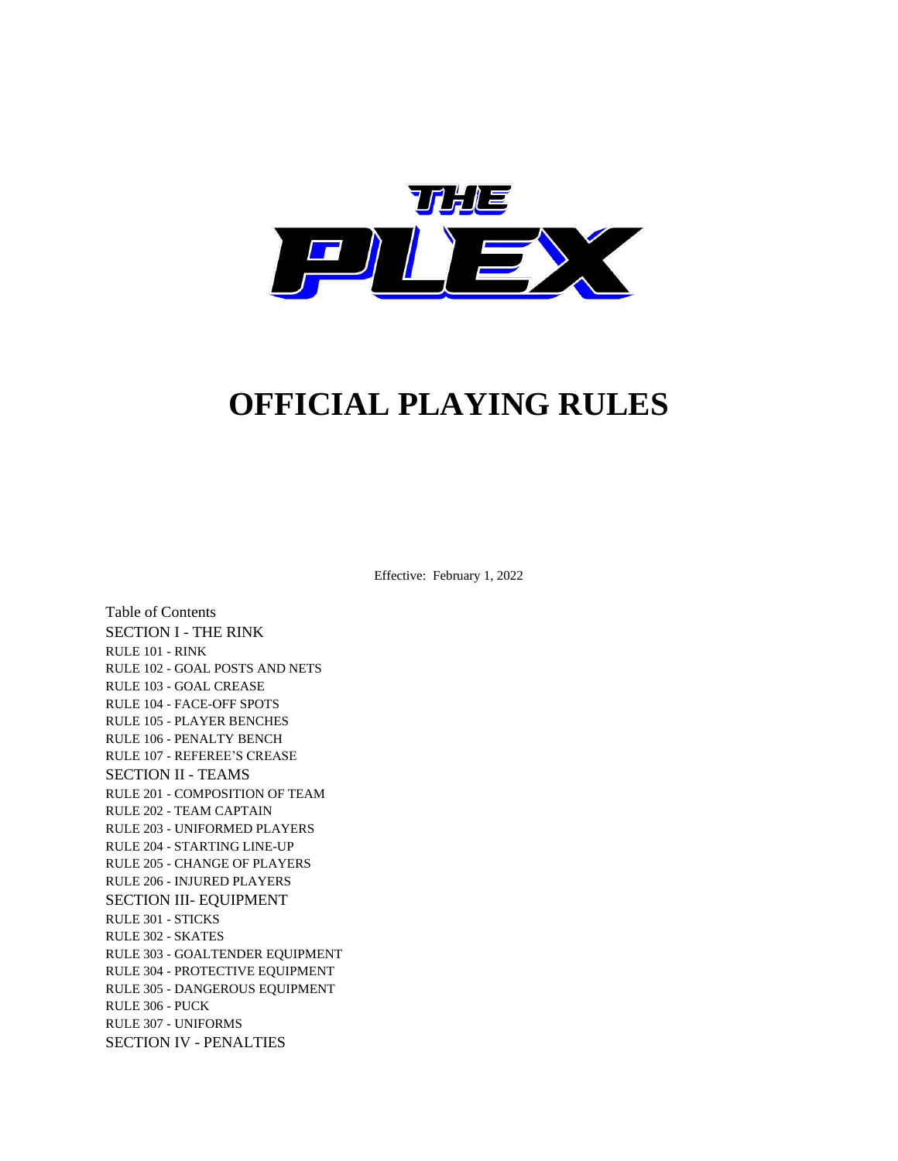

# **OFFICIAL PLAYING RULES**

Effective: February 1, 2022

Table of Contents SECTION I - THE RINK RULE 101 - RINK RULE 102 - GOAL POSTS AND NETS RULE 103 - GOAL CREASE RULE 104 - FACE-OFF SPOTS RULE 105 - PLAYER BENCHES RULE 106 - PENALTY BENCH RULE 107 - REFEREE'S CREASE SECTION II - TEAMS RULE 201 - COMPOSITION OF TEAM RULE 202 - TEAM CAPTAIN RULE 203 - UNIFORMED PLAYERS RULE 204 - STARTING LINE-UP RULE 205 - CHANGE OF PLAYERS RULE 206 - INJURED PLAYERS SECTION III- EQUIPMENT RULE 301 - STICKS RULE 302 - SKATES RULE 303 - GOALTENDER EQUIPMENT RULE 304 - PROTECTIVE EQUIPMENT RULE 305 - DANGEROUS EQUIPMENT RULE 306 - PUCK RULE 307 - UNIFORMS SECTION IV - PENALTIES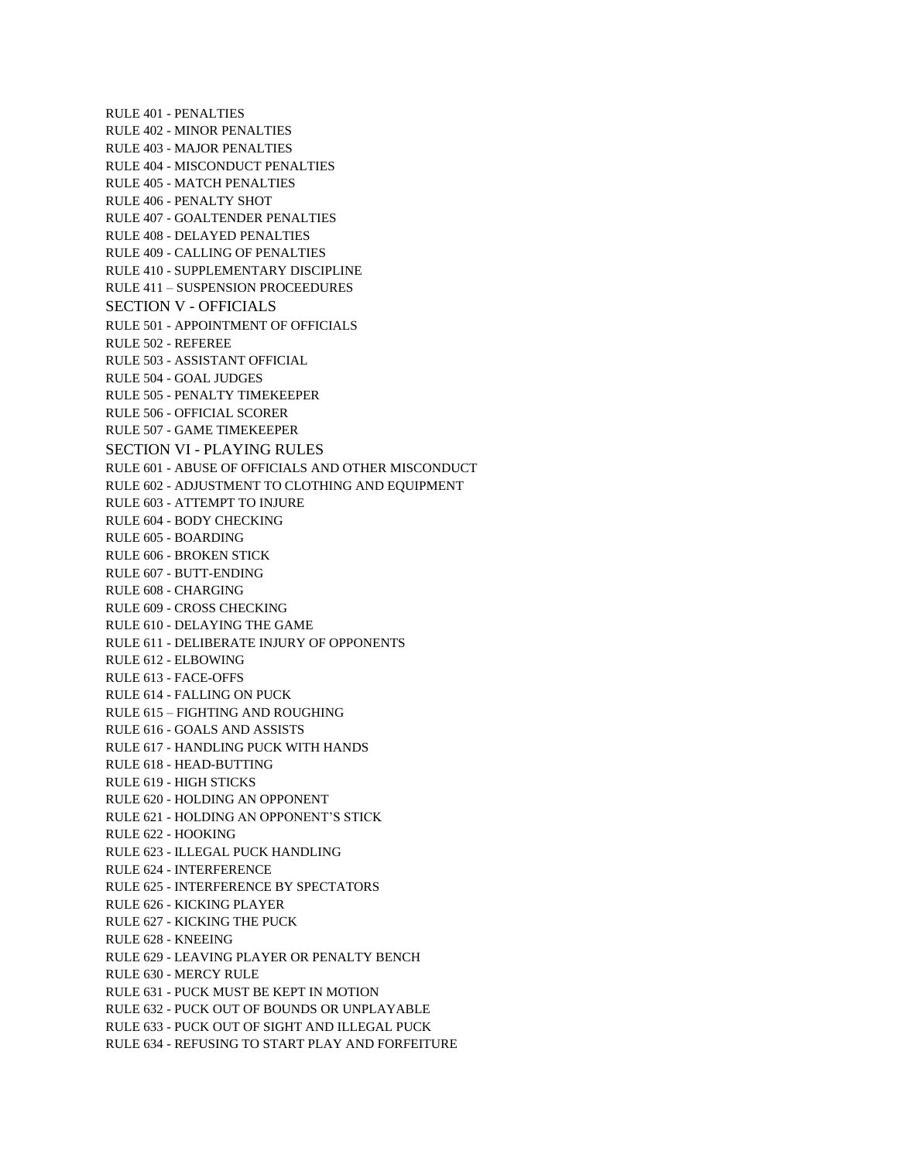RULE 401 - PENALTIES RULE 402 - MINOR PENALTIES RULE 403 - MAJOR PENALTIES RULE 404 - MISCONDUCT PENALTIES RULE 405 - MATCH PENALTIES RULE 406 - PENALTY SHOT RULE 407 - GOALTENDER PENALTIES RULE 408 - DELAYED PENALTIES RULE 409 - CALLING OF PENALTIES RULE 410 - SUPPLEMENTARY DISCIPLINE RULE 411 – SUSPENSION PROCEEDURES SECTION V - OFFICIALS RULE 501 - APPOINTMENT OF OFFICIALS RULE 502 - REFEREE RULE 503 - ASSISTANT OFFICIAL RULE 504 - GOAL JUDGES RULE 505 - PENALTY TIMEKEEPER RULE 506 - OFFICIAL SCORER RULE 507 - GAME TIMEKEEPER SECTION VI - PLAYING RULES RULE 601 - ABUSE OF OFFICIALS AND OTHER MISCONDUCT RULE 602 - ADJUSTMENT TO CLOTHING AND EQUIPMENT RULE 603 - ATTEMPT TO INJURE RULE 604 - BODY CHECKING RULE 605 - BOARDING RULE 606 - BROKEN STICK RULE 607 - BUTT-ENDING RULE 608 - CHARGING RULE 609 - CROSS CHECKING RULE 610 - DELAYING THE GAME RULE 611 - DELIBERATE INJURY OF OPPONENTS RULE 612 - ELBOWING RULE 613 - FACE-OFFS RULE 614 - FALLING ON PUCK RULE 615 – FIGHTING AND ROUGHING RULE 616 - GOALS AND ASSISTS RULE 617 - HANDLING PUCK WITH HANDS RULE 618 - HEAD-BUTTING RULE 619 - HIGH STICKS RULE 620 - HOLDING AN OPPONENT RULE 621 - HOLDING AN OPPONENT'S STICK RULE 622 - HOOKING RULE 623 - ILLEGAL PUCK HANDLING RULE 624 - INTERFERENCE RULE 625 - INTERFERENCE BY SPECTATORS RULE 626 - KICKING PLAYER RULE 627 - KICKING THE PUCK RULE 628 - KNEEING RULE 629 - LEAVING PLAYER OR PENALTY BENCH RULE 630 - MERCY RULE RULE 631 - PUCK MUST BE KEPT IN MOTION RULE 632 - PUCK OUT OF BOUNDS OR UNPLAYABLE RULE 633 - PUCK OUT OF SIGHT AND ILLEGAL PUCK RULE 634 - REFUSING TO START PLAY AND FORFEITURE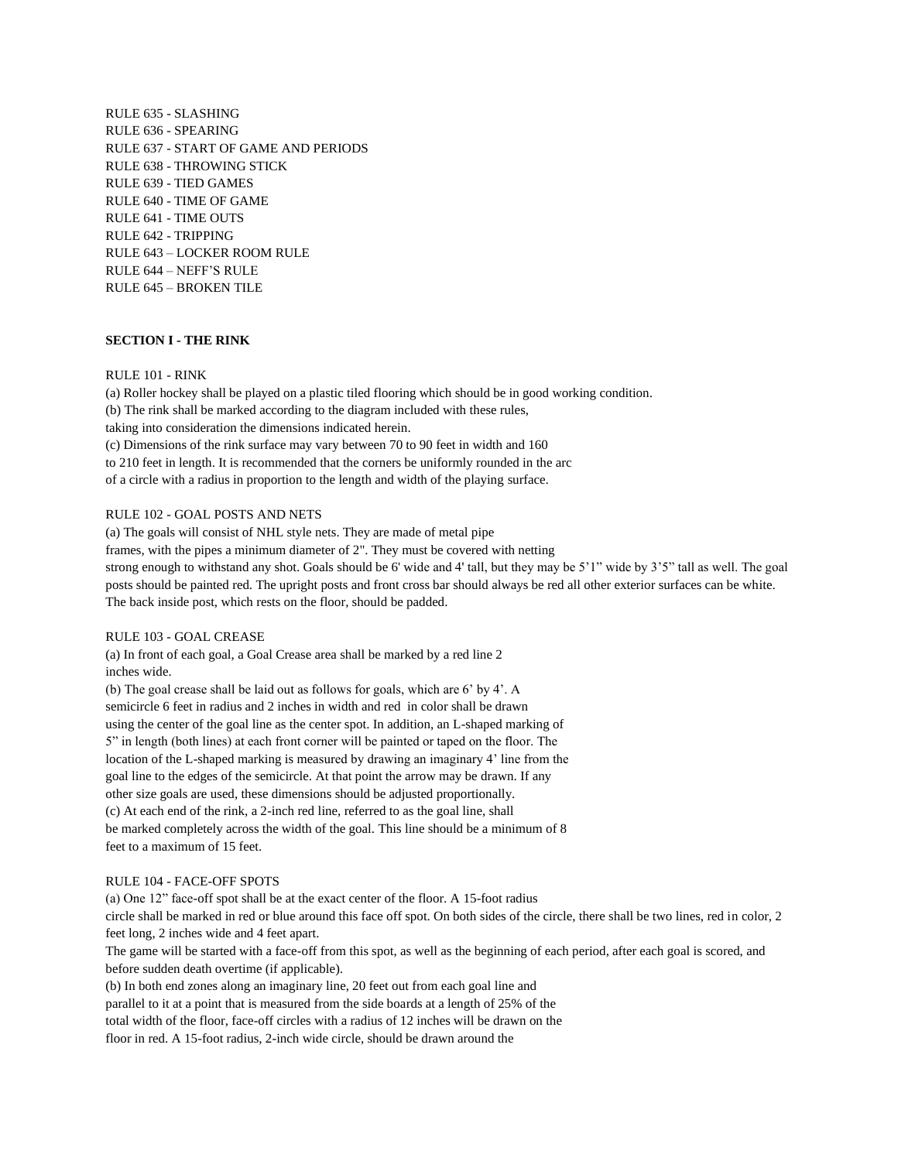RULE 635 - SLASHING RULE 636 - SPEARING RULE 637 - START OF GAME AND PERIODS RULE 638 - THROWING STICK RULE 639 - TIED GAMES RULE 640 - TIME OF GAME RULE 641 - TIME OUTS RULE 642 - TRIPPING RULE 643 – LOCKER ROOM RULE RULE 644 – NEFF'S RULE RULE 645 – BROKEN TILE

### **SECTION I - THE RINK**

#### RULE 101 - RINK

(a) Roller hockey shall be played on a plastic tiled flooring which should be in good working condition. (b) The rink shall be marked according to the diagram included with these rules, taking into consideration the dimensions indicated herein. (c) Dimensions of the rink surface may vary between 70 to 90 feet in width and 160 to 210 feet in length. It is recommended that the corners be uniformly rounded in the arc of a circle with a radius in proportion to the length and width of the playing surface.

#### RULE 102 - GOAL POSTS AND NETS

(a) The goals will consist of NHL style nets. They are made of metal pipe

frames, with the pipes a minimum diameter of 2". They must be covered with netting

strong enough to withstand any shot. Goals should be 6' wide and 4' tall, but they may be 5'1" wide by 3'5" tall as well. The goal posts should be painted red. The upright posts and front cross bar should always be red all other exterior surfaces can be white. The back inside post, which rests on the floor, should be padded.

## RULE 103 - GOAL CREASE

(a) In front of each goal, a Goal Crease area shall be marked by a red line 2 inches wide.

(b) The goal crease shall be laid out as follows for goals, which are 6' by 4'. A semicircle 6 feet in radius and 2 inches in width and red in color shall be drawn using the center of the goal line as the center spot. In addition, an L-shaped marking of 5" in length (both lines) at each front corner will be painted or taped on the floor. The location of the L-shaped marking is measured by drawing an imaginary 4' line from the goal line to the edges of the semicircle. At that point the arrow may be drawn. If any other size goals are used, these dimensions should be adjusted proportionally. (c) At each end of the rink, a 2-inch red line, referred to as the goal line, shall be marked completely across the width of the goal. This line should be a minimum of 8 feet to a maximum of 15 feet.

#### RULE 104 - FACE-OFF SPOTS

(a) One 12" face-off spot shall be at the exact center of the floor. A 15-foot radius

circle shall be marked in red or blue around this face off spot. On both sides of the circle, there shall be two lines, red in color, 2 feet long, 2 inches wide and 4 feet apart.

The game will be started with a face-off from this spot, as well as the beginning of each period, after each goal is scored, and before sudden death overtime (if applicable).

(b) In both end zones along an imaginary line, 20 feet out from each goal line and parallel to it at a point that is measured from the side boards at a length of 25% of the total width of the floor, face-off circles with a radius of 12 inches will be drawn on the floor in red. A 15-foot radius, 2-inch wide circle, should be drawn around the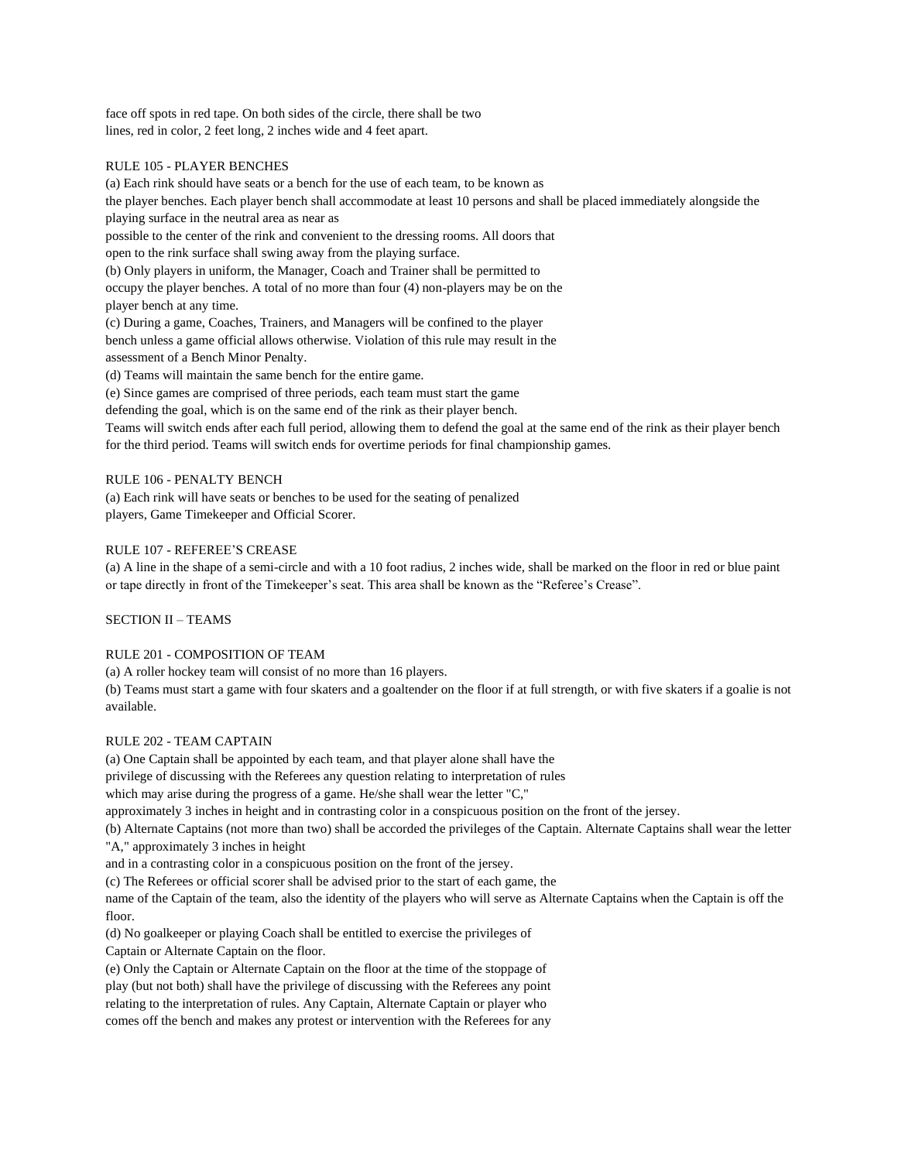face off spots in red tape. On both sides of the circle, there shall be two lines, red in color, 2 feet long, 2 inches wide and 4 feet apart.

## RULE 105 - PLAYER BENCHES

(a) Each rink should have seats or a bench for the use of each team, to be known as the player benches. Each player bench shall accommodate at least 10 persons and shall be placed immediately alongside the playing surface in the neutral area as near as possible to the center of the rink and convenient to the dressing rooms. All doors that open to the rink surface shall swing away from the playing surface. (b) Only players in uniform, the Manager, Coach and Trainer shall be permitted to

occupy the player benches. A total of no more than four (4) non-players may be on the player bench at any time.

(c) During a game, Coaches, Trainers, and Managers will be confined to the player bench unless a game official allows otherwise. Violation of this rule may result in the assessment of a Bench Minor Penalty.

(d) Teams will maintain the same bench for the entire game.

(e) Since games are comprised of three periods, each team must start the game

defending the goal, which is on the same end of the rink as their player bench.

Teams will switch ends after each full period, allowing them to defend the goal at the same end of the rink as their player bench for the third period. Teams will switch ends for overtime periods for final championship games.

## RULE 106 - PENALTY BENCH

(a) Each rink will have seats or benches to be used for the seating of penalized players, Game Timekeeper and Official Scorer.

## RULE 107 - REFEREE'S CREASE

(a) A line in the shape of a semi-circle and with a 10 foot radius, 2 inches wide, shall be marked on the floor in red or blue paint or tape directly in front of the Timekeeper's seat. This area shall be known as the "Referee's Crease".

SECTION II – TEAMS

# RULE 201 - COMPOSITION OF TEAM

(a) A roller hockey team will consist of no more than 16 players.

(b) Teams must start a game with four skaters and a goaltender on the floor if at full strength, or with five skaters if a goalie is not available.

## RULE 202 - TEAM CAPTAIN

(a) One Captain shall be appointed by each team, and that player alone shall have the

privilege of discussing with the Referees any question relating to interpretation of rules

which may arise during the progress of a game. He/she shall wear the letter "C,"

approximately 3 inches in height and in contrasting color in a conspicuous position on the front of the jersey.

(b) Alternate Captains (not more than two) shall be accorded the privileges of the Captain. Alternate Captains shall wear the letter "A," approximately 3 inches in height

and in a contrasting color in a conspicuous position on the front of the jersey.

(c) The Referees or official scorer shall be advised prior to the start of each game, the

name of the Captain of the team, also the identity of the players who will serve as Alternate Captains when the Captain is off the floor.

(d) No goalkeeper or playing Coach shall be entitled to exercise the privileges of

Captain or Alternate Captain on the floor.

(e) Only the Captain or Alternate Captain on the floor at the time of the stoppage of play (but not both) shall have the privilege of discussing with the Referees any point relating to the interpretation of rules. Any Captain, Alternate Captain or player who comes off the bench and makes any protest or intervention with the Referees for any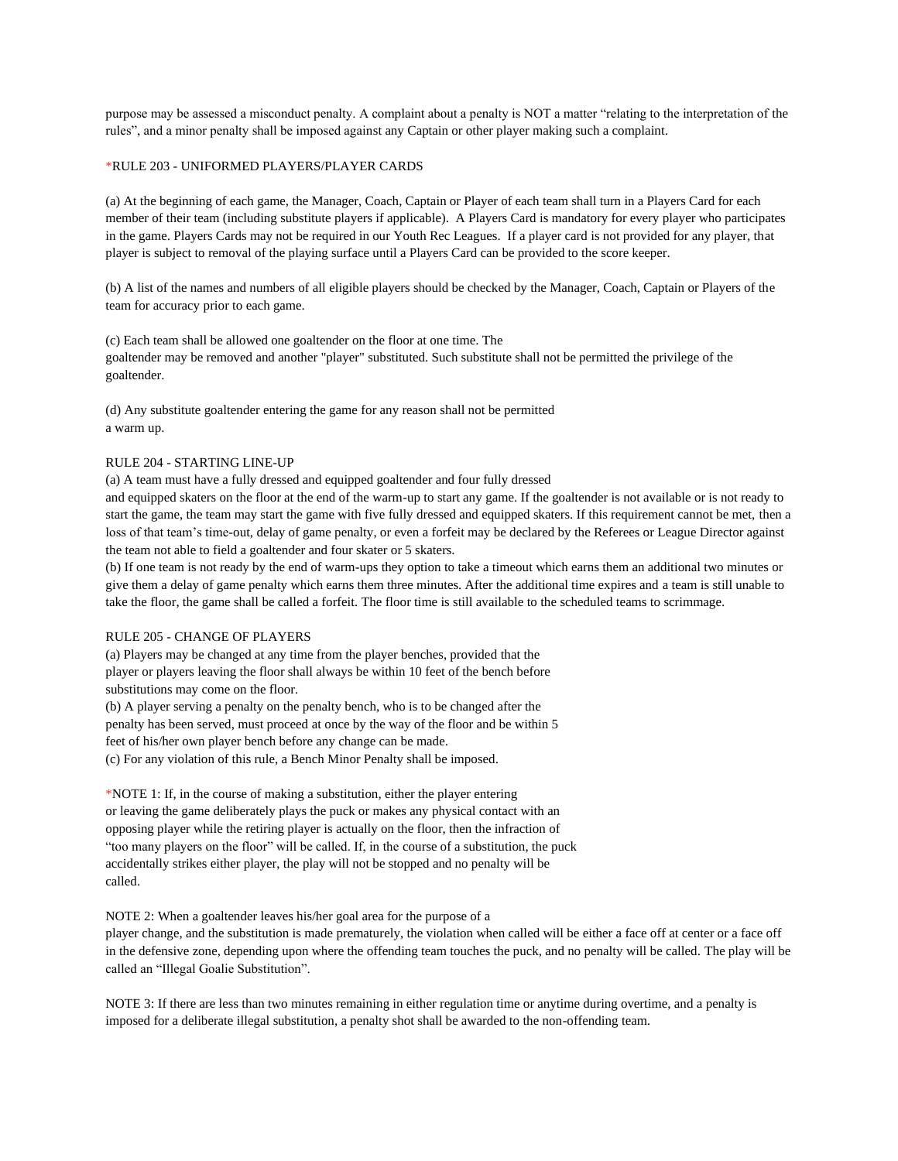purpose may be assessed a misconduct penalty. A complaint about a penalty is NOT a matter "relating to the interpretation of the rules", and a minor penalty shall be imposed against any Captain or other player making such a complaint.

#### \*RULE 203 - UNIFORMED PLAYERS/PLAYER CARDS

(a) At the beginning of each game, the Manager, Coach, Captain or Player of each team shall turn in a Players Card for each member of their team (including substitute players if applicable). A Players Card is mandatory for every player who participates in the game. Players Cards may not be required in our Youth Rec Leagues. If a player card is not provided for any player, that player is subject to removal of the playing surface until a Players Card can be provided to the score keeper.

(b) A list of the names and numbers of all eligible players should be checked by the Manager, Coach, Captain or Players of the team for accuracy prior to each game.

(c) Each team shall be allowed one goaltender on the floor at one time. The goaltender may be removed and another "player" substituted. Such substitute shall not be permitted the privilege of the goaltender.

(d) Any substitute goaltender entering the game for any reason shall not be permitted a warm up.

#### RULE 204 - STARTING LINE-UP

(a) A team must have a fully dressed and equipped goaltender and four fully dressed

and equipped skaters on the floor at the end of the warm-up to start any game. If the goaltender is not available or is not ready to start the game, the team may start the game with five fully dressed and equipped skaters. If this requirement cannot be met, then a loss of that team's time-out, delay of game penalty, or even a forfeit may be declared by the Referees or League Director against the team not able to field a goaltender and four skater or 5 skaters.

(b) If one team is not ready by the end of warm-ups they option to take a timeout which earns them an additional two minutes or give them a delay of game penalty which earns them three minutes. After the additional time expires and a team is still unable to take the floor, the game shall be called a forfeit. The floor time is still available to the scheduled teams to scrimmage.

## RULE 205 - CHANGE OF PLAYERS

(a) Players may be changed at any time from the player benches, provided that the player or players leaving the floor shall always be within 10 feet of the bench before substitutions may come on the floor.

(b) A player serving a penalty on the penalty bench, who is to be changed after the penalty has been served, must proceed at once by the way of the floor and be within 5 feet of his/her own player bench before any change can be made. (c) For any violation of this rule, a Bench Minor Penalty shall be imposed.

\*NOTE 1: If, in the course of making a substitution, either the player entering or leaving the game deliberately plays the puck or makes any physical contact with an opposing player while the retiring player is actually on the floor, then the infraction of "too many players on the floor" will be called. If, in the course of a substitution, the puck accidentally strikes either player, the play will not be stopped and no penalty will be called.

NOTE 2: When a goaltender leaves his/her goal area for the purpose of a

player change, and the substitution is made prematurely, the violation when called will be either a face off at center or a face off in the defensive zone, depending upon where the offending team touches the puck, and no penalty will be called. The play will be called an "Illegal Goalie Substitution".

NOTE 3: If there are less than two minutes remaining in either regulation time or anytime during overtime, and a penalty is imposed for a deliberate illegal substitution, a penalty shot shall be awarded to the non-offending team.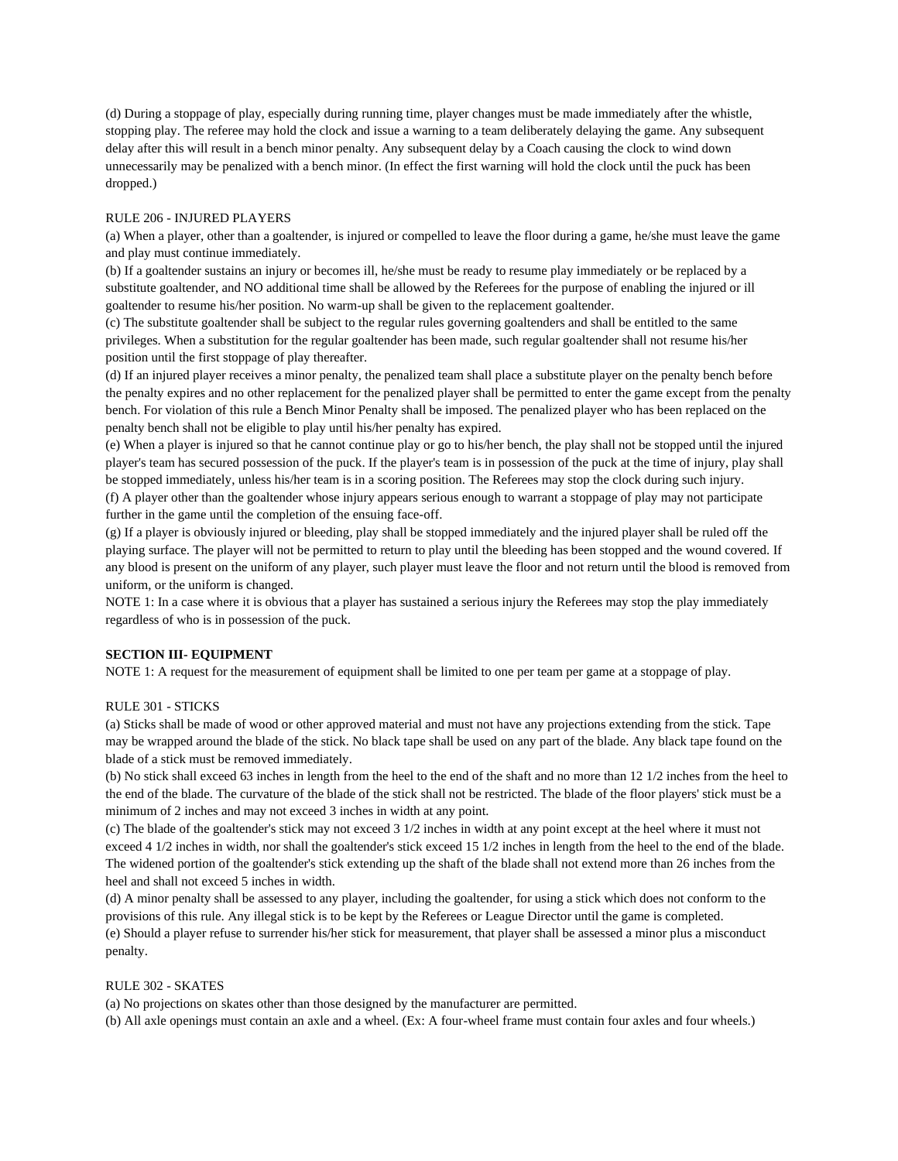(d) During a stoppage of play, especially during running time, player changes must be made immediately after the whistle, stopping play. The referee may hold the clock and issue a warning to a team deliberately delaying the game. Any subsequent delay after this will result in a bench minor penalty. Any subsequent delay by a Coach causing the clock to wind down unnecessarily may be penalized with a bench minor. (In effect the first warning will hold the clock until the puck has been dropped.)

## RULE 206 - INJURED PLAYERS

(a) When a player, other than a goaltender, is injured or compelled to leave the floor during a game, he/she must leave the game and play must continue immediately.

(b) If a goaltender sustains an injury or becomes ill, he/she must be ready to resume play immediately or be replaced by a substitute goaltender, and NO additional time shall be allowed by the Referees for the purpose of enabling the injured or ill goaltender to resume his/her position. No warm-up shall be given to the replacement goaltender.

(c) The substitute goaltender shall be subject to the regular rules governing goaltenders and shall be entitled to the same privileges. When a substitution for the regular goaltender has been made, such regular goaltender shall not resume his/her position until the first stoppage of play thereafter.

(d) If an injured player receives a minor penalty, the penalized team shall place a substitute player on the penalty bench before the penalty expires and no other replacement for the penalized player shall be permitted to enter the game except from the penalty bench. For violation of this rule a Bench Minor Penalty shall be imposed. The penalized player who has been replaced on the penalty bench shall not be eligible to play until his/her penalty has expired.

(e) When a player is injured so that he cannot continue play or go to his/her bench, the play shall not be stopped until the injured player's team has secured possession of the puck. If the player's team is in possession of the puck at the time of injury, play shall be stopped immediately, unless his/her team is in a scoring position. The Referees may stop the clock during such injury. (f) A player other than the goaltender whose injury appears serious enough to warrant a stoppage of play may not participate further in the game until the completion of the ensuing face-off.

(g) If a player is obviously injured or bleeding, play shall be stopped immediately and the injured player shall be ruled off the playing surface. The player will not be permitted to return to play until the bleeding has been stopped and the wound covered. If any blood is present on the uniform of any player, such player must leave the floor and not return until the blood is removed from uniform, or the uniform is changed.

NOTE 1: In a case where it is obvious that a player has sustained a serious injury the Referees may stop the play immediately regardless of who is in possession of the puck.

#### **SECTION III- EQUIPMENT**

NOTE 1: A request for the measurement of equipment shall be limited to one per team per game at a stoppage of play.

#### RULE 301 - STICKS

(a) Sticks shall be made of wood or other approved material and must not have any projections extending from the stick. Tape may be wrapped around the blade of the stick. No black tape shall be used on any part of the blade. Any black tape found on the blade of a stick must be removed immediately.

(b) No stick shall exceed 63 inches in length from the heel to the end of the shaft and no more than 12 1/2 inches from the heel to the end of the blade. The curvature of the blade of the stick shall not be restricted. The blade of the floor players' stick must be a minimum of 2 inches and may not exceed 3 inches in width at any point.

(c) The blade of the goaltender's stick may not exceed 3 1/2 inches in width at any point except at the heel where it must not exceed 4 1/2 inches in width, nor shall the goaltender's stick exceed 15 1/2 inches in length from the heel to the end of the blade. The widened portion of the goaltender's stick extending up the shaft of the blade shall not extend more than 26 inches from the heel and shall not exceed 5 inches in width.

(d) A minor penalty shall be assessed to any player, including the goaltender, for using a stick which does not conform to the provisions of this rule. Any illegal stick is to be kept by the Referees or League Director until the game is completed. (e) Should a player refuse to surrender his/her stick for measurement, that player shall be assessed a minor plus a misconduct penalty.

#### RULE 302 - SKATES

(a) No projections on skates other than those designed by the manufacturer are permitted.

(b) All axle openings must contain an axle and a wheel. (Ex: A four-wheel frame must contain four axles and four wheels.)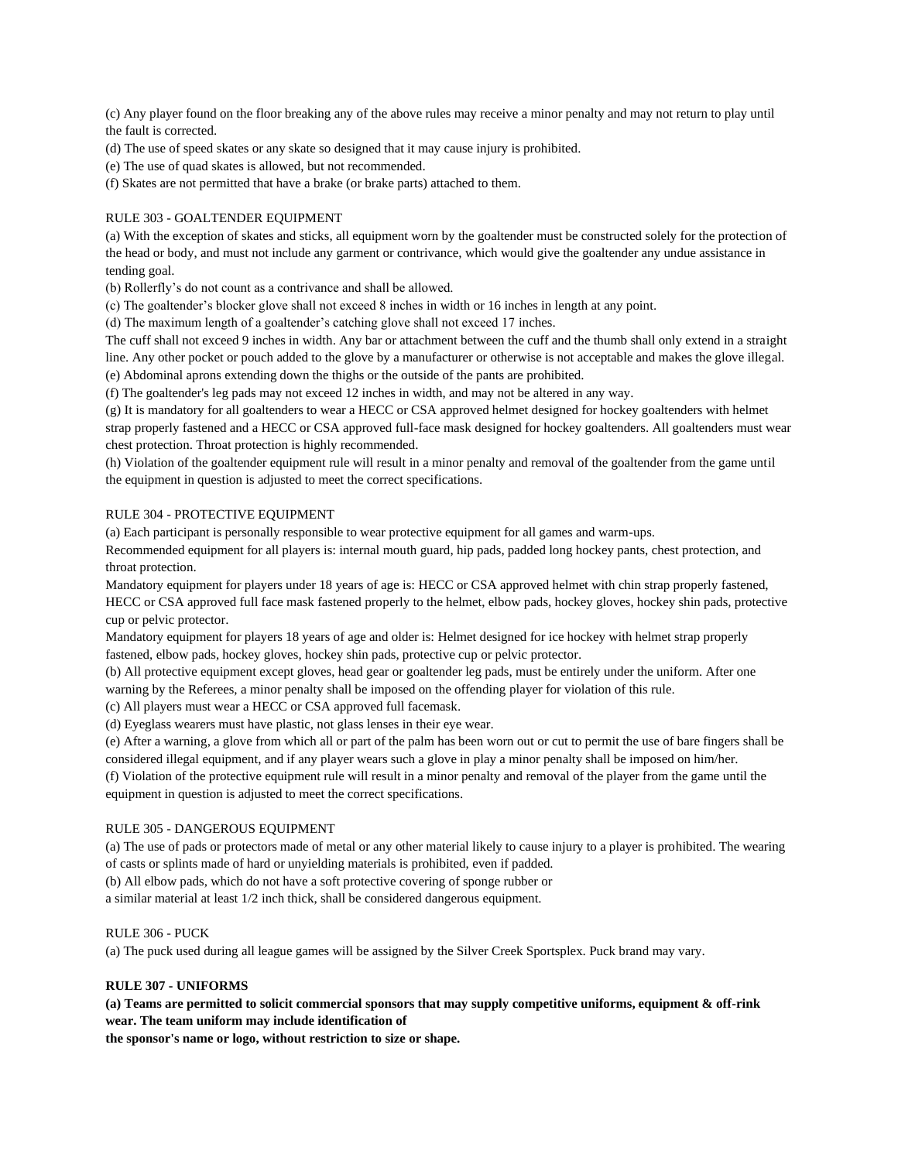(c) Any player found on the floor breaking any of the above rules may receive a minor penalty and may not return to play until the fault is corrected.

(d) The use of speed skates or any skate so designed that it may cause injury is prohibited.

(e) The use of quad skates is allowed, but not recommended.

(f) Skates are not permitted that have a brake (or brake parts) attached to them.

## RULE 303 - GOALTENDER EQUIPMENT

(a) With the exception of skates and sticks, all equipment worn by the goaltender must be constructed solely for the protection of the head or body, and must not include any garment or contrivance, which would give the goaltender any undue assistance in tending goal.

(b) Rollerfly's do not count as a contrivance and shall be allowed.

(c) The goaltender's blocker glove shall not exceed 8 inches in width or 16 inches in length at any point.

(d) The maximum length of a goaltender's catching glove shall not exceed 17 inches.

The cuff shall not exceed 9 inches in width. Any bar or attachment between the cuff and the thumb shall only extend in a straight line. Any other pocket or pouch added to the glove by a manufacturer or otherwise is not acceptable and makes the glove illegal. (e) Abdominal aprons extending down the thighs or the outside of the pants are prohibited.

(f) The goaltender's leg pads may not exceed 12 inches in width, and may not be altered in any way.

(g) It is mandatory for all goaltenders to wear a HECC or CSA approved helmet designed for hockey goaltenders with helmet strap properly fastened and a HECC or CSA approved full-face mask designed for hockey goaltenders. All goaltenders must wear chest protection. Throat protection is highly recommended.

(h) Violation of the goaltender equipment rule will result in a minor penalty and removal of the goaltender from the game until the equipment in question is adjusted to meet the correct specifications.

#### RULE 304 - PROTECTIVE EQUIPMENT

(a) Each participant is personally responsible to wear protective equipment for all games and warm-ups.

Recommended equipment for all players is: internal mouth guard, hip pads, padded long hockey pants, chest protection, and throat protection.

Mandatory equipment for players under 18 years of age is: HECC or CSA approved helmet with chin strap properly fastened, HECC or CSA approved full face mask fastened properly to the helmet, elbow pads, hockey gloves, hockey shin pads, protective cup or pelvic protector.

Mandatory equipment for players 18 years of age and older is: Helmet designed for ice hockey with helmet strap properly fastened, elbow pads, hockey gloves, hockey shin pads, protective cup or pelvic protector.

(b) All protective equipment except gloves, head gear or goaltender leg pads, must be entirely under the uniform. After one warning by the Referees, a minor penalty shall be imposed on the offending player for violation of this rule.

(c) All players must wear a HECC or CSA approved full facemask.

(d) Eyeglass wearers must have plastic, not glass lenses in their eye wear.

(e) After a warning, a glove from which all or part of the palm has been worn out or cut to permit the use of bare fingers shall be considered illegal equipment, and if any player wears such a glove in play a minor penalty shall be imposed on him/her.

(f) Violation of the protective equipment rule will result in a minor penalty and removal of the player from the game until the equipment in question is adjusted to meet the correct specifications.

## RULE 305 - DANGEROUS EQUIPMENT

(a) The use of pads or protectors made of metal or any other material likely to cause injury to a player is prohibited. The wearing of casts or splints made of hard or unyielding materials is prohibited, even if padded.

(b) All elbow pads, which do not have a soft protective covering of sponge rubber or

a similar material at least 1/2 inch thick, shall be considered dangerous equipment.

#### RULE 306 - PUCK

(a) The puck used during all league games will be assigned by the Silver Creek Sportsplex. Puck brand may vary.

## **RULE 307 - UNIFORMS**

**(a) Teams are permitted to solicit commercial sponsors that may supply competitive uniforms, equipment & off-rink wear. The team uniform may include identification of**

**the sponsor's name or logo, without restriction to size or shape.**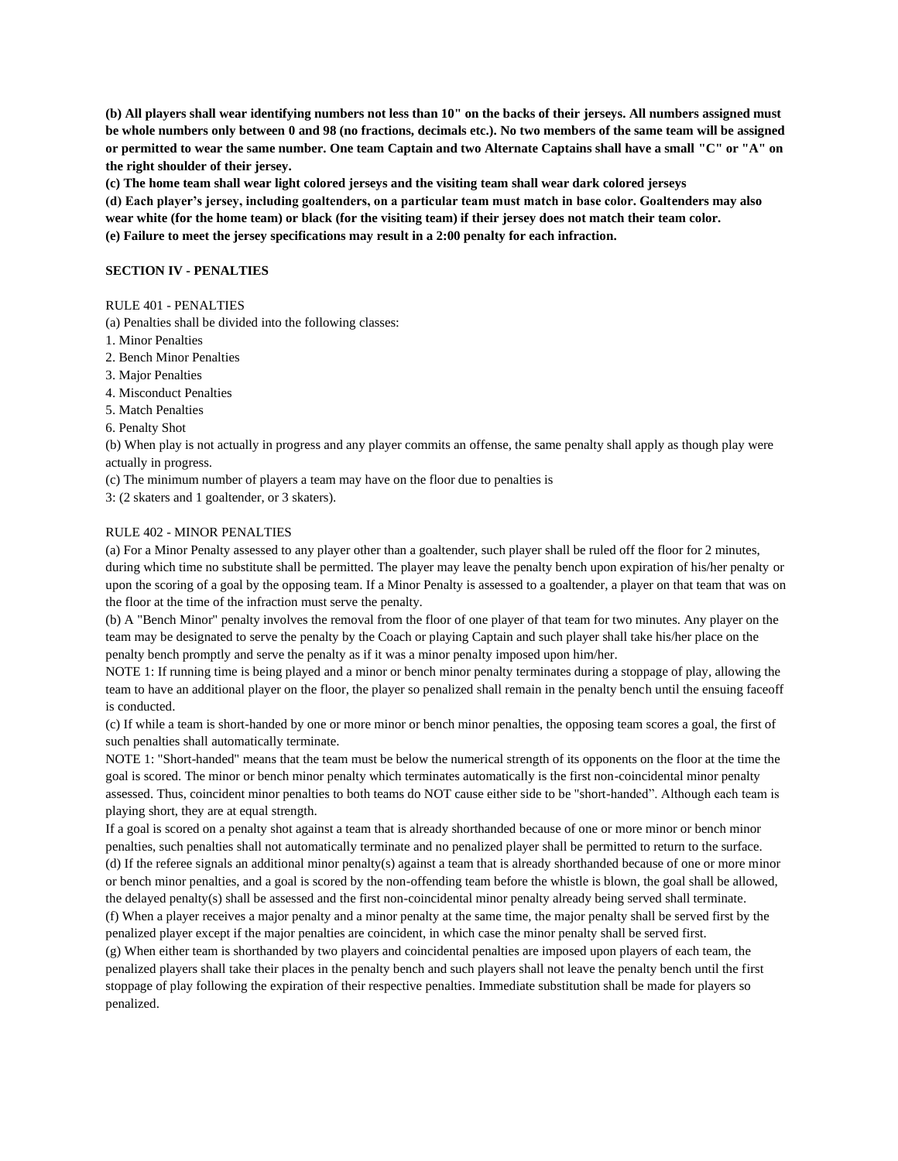**(b) All players shall wear identifying numbers not less than 10" on the backs of their jerseys. All numbers assigned must be whole numbers only between 0 and 98 (no fractions, decimals etc.). No two members of the same team will be assigned or permitted to wear the same number. One team Captain and two Alternate Captains shall have a small "C" or "A" on the right shoulder of their jersey.**

**(c) The home team shall wear light colored jerseys and the visiting team shall wear dark colored jerseys**

**(d) Each player's jersey, including goaltenders, on a particular team must match in base color. Goaltenders may also wear white (for the home team) or black (for the visiting team) if their jersey does not match their team color. (e) Failure to meet the jersey specifications may result in a 2:00 penalty for each infraction.** 

#### **SECTION IV - PENALTIES**

#### RULE 401 - PENALTIES

(a) Penalties shall be divided into the following classes:

- 1. Minor Penalties
- 2. Bench Minor Penalties
- 3. Major Penalties
- 4. Misconduct Penalties
- 5. Match Penalties
- 6. Penalty Shot

(b) When play is not actually in progress and any player commits an offense, the same penalty shall apply as though play were actually in progress.

(c) The minimum number of players a team may have on the floor due to penalties is

3: (2 skaters and 1 goaltender, or 3 skaters).

#### RULE 402 - MINOR PENALTIES

(a) For a Minor Penalty assessed to any player other than a goaltender, such player shall be ruled off the floor for 2 minutes, during which time no substitute shall be permitted. The player may leave the penalty bench upon expiration of his/her penalty or upon the scoring of a goal by the opposing team. If a Minor Penalty is assessed to a goaltender, a player on that team that was on the floor at the time of the infraction must serve the penalty.

(b) A "Bench Minor" penalty involves the removal from the floor of one player of that team for two minutes. Any player on the team may be designated to serve the penalty by the Coach or playing Captain and such player shall take his/her place on the penalty bench promptly and serve the penalty as if it was a minor penalty imposed upon him/her.

NOTE 1: If running time is being played and a minor or bench minor penalty terminates during a stoppage of play, allowing the team to have an additional player on the floor, the player so penalized shall remain in the penalty bench until the ensuing faceoff is conducted.

(c) If while a team is short-handed by one or more minor or bench minor penalties, the opposing team scores a goal, the first of such penalties shall automatically terminate.

NOTE 1: "Short-handed" means that the team must be below the numerical strength of its opponents on the floor at the time the goal is scored. The minor or bench minor penalty which terminates automatically is the first non-coincidental minor penalty assessed. Thus, coincident minor penalties to both teams do NOT cause either side to be "short-handed". Although each team is playing short, they are at equal strength.

If a goal is scored on a penalty shot against a team that is already shorthanded because of one or more minor or bench minor penalties, such penalties shall not automatically terminate and no penalized player shall be permitted to return to the surface. (d) If the referee signals an additional minor penalty(s) against a team that is already shorthanded because of one or more minor or bench minor penalties, and a goal is scored by the non-offending team before the whistle is blown, the goal shall be allowed, the delayed penalty(s) shall be assessed and the first non-coincidental minor penalty already being served shall terminate. (f) When a player receives a major penalty and a minor penalty at the same time, the major penalty shall be served first by the penalized player except if the major penalties are coincident, in which case the minor penalty shall be served first.

(g) When either team is shorthanded by two players and coincidental penalties are imposed upon players of each team, the penalized players shall take their places in the penalty bench and such players shall not leave the penalty bench until the first stoppage of play following the expiration of their respective penalties. Immediate substitution shall be made for players so penalized.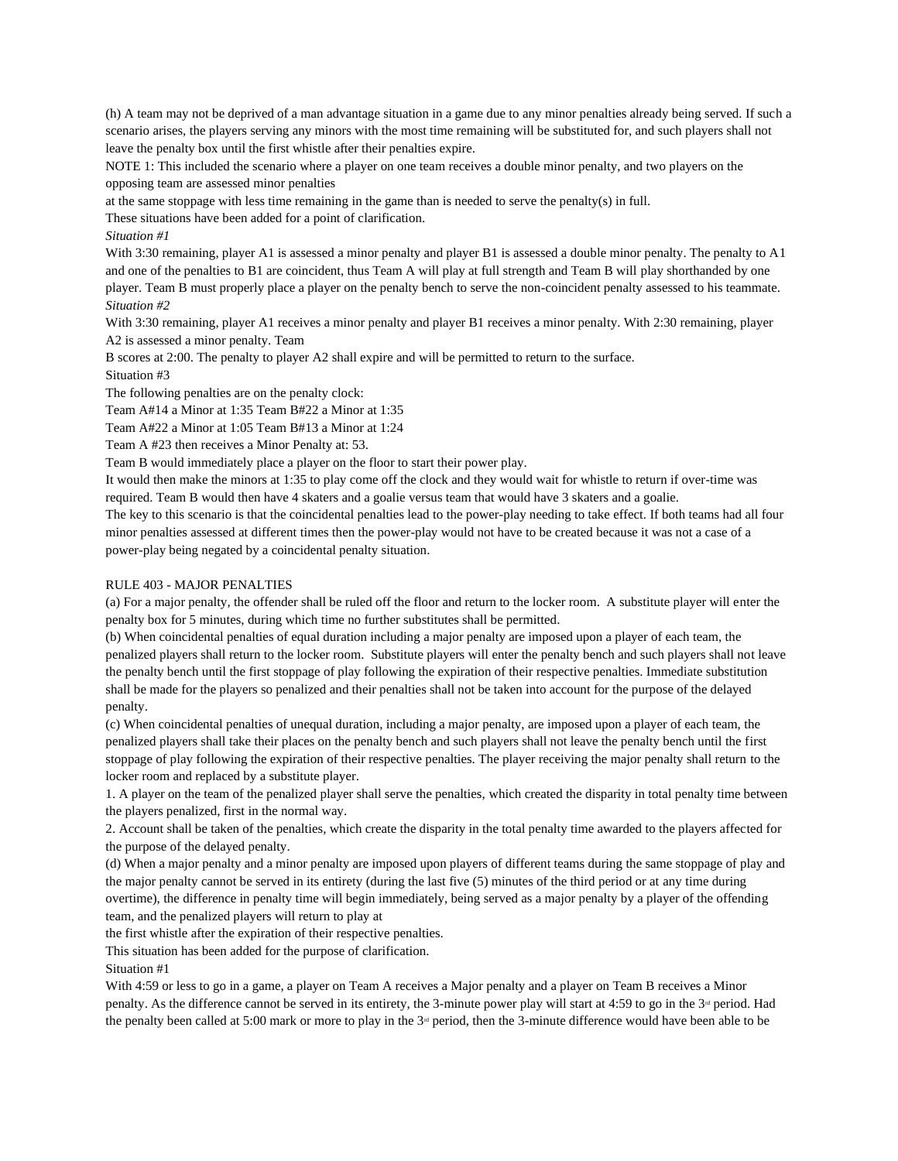(h) A team may not be deprived of a man advantage situation in a game due to any minor penalties already being served. If such a scenario arises, the players serving any minors with the most time remaining will be substituted for, and such players shall not leave the penalty box until the first whistle after their penalties expire.

NOTE 1: This included the scenario where a player on one team receives a double minor penalty, and two players on the opposing team are assessed minor penalties

at the same stoppage with less time remaining in the game than is needed to serve the penalty(s) in full.

These situations have been added for a point of clarification.

### *Situation #1*

With 3:30 remaining, player A1 is assessed a minor penalty and player B1 is assessed a double minor penalty. The penalty to A1 and one of the penalties to B1 are coincident, thus Team A will play at full strength and Team B will play shorthanded by one player. Team B must properly place a player on the penalty bench to serve the non-coincident penalty assessed to his teammate. *Situation #2*

With 3:30 remaining, player A1 receives a minor penalty and player B1 receives a minor penalty. With 2:30 remaining, player A2 is assessed a minor penalty. Team

B scores at 2:00. The penalty to player A2 shall expire and will be permitted to return to the surface.

Situation #3

The following penalties are on the penalty clock:

Team A#14 a Minor at 1:35 Team B#22 a Minor at 1:35

Team A#22 a Minor at 1:05 Team B#13 a Minor at 1:24

Team A #23 then receives a Minor Penalty at: 53.

Team B would immediately place a player on the floor to start their power play.

It would then make the minors at 1:35 to play come off the clock and they would wait for whistle to return if over-time was required. Team B would then have 4 skaters and a goalie versus team that would have 3 skaters and a goalie.

The key to this scenario is that the coincidental penalties lead to the power-play needing to take effect. If both teams had all four minor penalties assessed at different times then the power-play would not have to be created because it was not a case of a power-play being negated by a coincidental penalty situation.

## RULE 403 - MAJOR PENALTIES

(a) For a major penalty, the offender shall be ruled off the floor and return to the locker room. A substitute player will enter the penalty box for 5 minutes, during which time no further substitutes shall be permitted.

(b) When coincidental penalties of equal duration including a major penalty are imposed upon a player of each team, the penalized players shall return to the locker room. Substitute players will enter the penalty bench and such players shall not leave the penalty bench until the first stoppage of play following the expiration of their respective penalties. Immediate substitution shall be made for the players so penalized and their penalties shall not be taken into account for the purpose of the delayed penalty.

(c) When coincidental penalties of unequal duration, including a major penalty, are imposed upon a player of each team, the penalized players shall take their places on the penalty bench and such players shall not leave the penalty bench until the first stoppage of play following the expiration of their respective penalties. The player receiving the major penalty shall return to the locker room and replaced by a substitute player.

1. A player on the team of the penalized player shall serve the penalties, which created the disparity in total penalty time between the players penalized, first in the normal way.

2. Account shall be taken of the penalties, which create the disparity in the total penalty time awarded to the players affected for the purpose of the delayed penalty.

(d) When a major penalty and a minor penalty are imposed upon players of different teams during the same stoppage of play and the major penalty cannot be served in its entirety (during the last five (5) minutes of the third period or at any time during overtime), the difference in penalty time will begin immediately, being served as a major penalty by a player of the offending team, and the penalized players will return to play at

the first whistle after the expiration of their respective penalties.

This situation has been added for the purpose of clarification.

## Situation #1

With 4:59 or less to go in a game, a player on Team A receives a Major penalty and a player on Team B receives a Minor penalty. As the difference cannot be served in its entirety, the 3-minute power play will start at 4:59 to go in the  $3<sup>rd</sup>$  period. Had the penalty been called at 5:00 mark or more to play in the  $3<sup>d</sup>$  period, then the 3-minute difference would have been able to be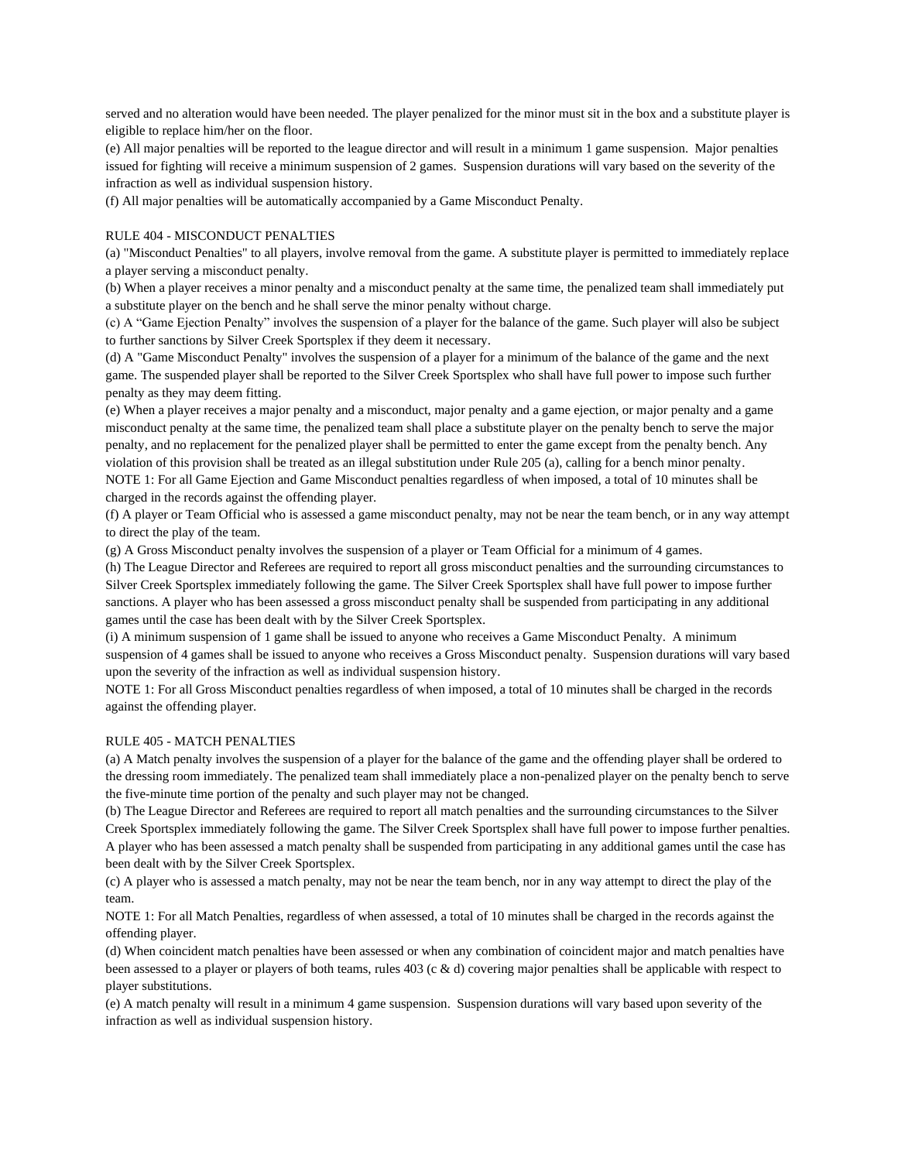served and no alteration would have been needed. The player penalized for the minor must sit in the box and a substitute player is eligible to replace him/her on the floor.

(e) All major penalties will be reported to the league director and will result in a minimum 1 game suspension. Major penalties issued for fighting will receive a minimum suspension of 2 games. Suspension durations will vary based on the severity of the infraction as well as individual suspension history.

(f) All major penalties will be automatically accompanied by a Game Misconduct Penalty.

## RULE 404 - MISCONDUCT PENALTIES

(a) "Misconduct Penalties" to all players, involve removal from the game. A substitute player is permitted to immediately replace a player serving a misconduct penalty.

(b) When a player receives a minor penalty and a misconduct penalty at the same time, the penalized team shall immediately put a substitute player on the bench and he shall serve the minor penalty without charge.

(c) A "Game Ejection Penalty" involves the suspension of a player for the balance of the game. Such player will also be subject to further sanctions by Silver Creek Sportsplex if they deem it necessary.

(d) A "Game Misconduct Penalty" involves the suspension of a player for a minimum of the balance of the game and the next game. The suspended player shall be reported to the Silver Creek Sportsplex who shall have full power to impose such further penalty as they may deem fitting.

(e) When a player receives a major penalty and a misconduct, major penalty and a game ejection, or major penalty and a game misconduct penalty at the same time, the penalized team shall place a substitute player on the penalty bench to serve the major penalty, and no replacement for the penalized player shall be permitted to enter the game except from the penalty bench. Any violation of this provision shall be treated as an illegal substitution under Rule 205 (a), calling for a bench minor penalty.

NOTE 1: For all Game Ejection and Game Misconduct penalties regardless of when imposed, a total of 10 minutes shall be charged in the records against the offending player.

(f) A player or Team Official who is assessed a game misconduct penalty, may not be near the team bench, or in any way attempt to direct the play of the team.

(g) A Gross Misconduct penalty involves the suspension of a player or Team Official for a minimum of 4 games.

(h) The League Director and Referees are required to report all gross misconduct penalties and the surrounding circumstances to Silver Creek Sportsplex immediately following the game. The Silver Creek Sportsplex shall have full power to impose further sanctions. A player who has been assessed a gross misconduct penalty shall be suspended from participating in any additional games until the case has been dealt with by the Silver Creek Sportsplex.

(i) A minimum suspension of 1 game shall be issued to anyone who receives a Game Misconduct Penalty. A minimum suspension of 4 games shall be issued to anyone who receives a Gross Misconduct penalty. Suspension durations will vary based upon the severity of the infraction as well as individual suspension history.

NOTE 1: For all Gross Misconduct penalties regardless of when imposed, a total of 10 minutes shall be charged in the records against the offending player.

#### RULE 405 - MATCH PENALTIES

(a) A Match penalty involves the suspension of a player for the balance of the game and the offending player shall be ordered to the dressing room immediately. The penalized team shall immediately place a non-penalized player on the penalty bench to serve the five-minute time portion of the penalty and such player may not be changed.

(b) The League Director and Referees are required to report all match penalties and the surrounding circumstances to the Silver Creek Sportsplex immediately following the game. The Silver Creek Sportsplex shall have full power to impose further penalties. A player who has been assessed a match penalty shall be suspended from participating in any additional games until the case has been dealt with by the Silver Creek Sportsplex.

(c) A player who is assessed a match penalty, may not be near the team bench, nor in any way attempt to direct the play of the team.

NOTE 1: For all Match Penalties, regardless of when assessed, a total of 10 minutes shall be charged in the records against the offending player.

(d) When coincident match penalties have been assessed or when any combination of coincident major and match penalties have been assessed to a player or players of both teams, rules 403 (c & d) covering major penalties shall be applicable with respect to player substitutions.

(e) A match penalty will result in a minimum 4 game suspension. Suspension durations will vary based upon severity of the infraction as well as individual suspension history.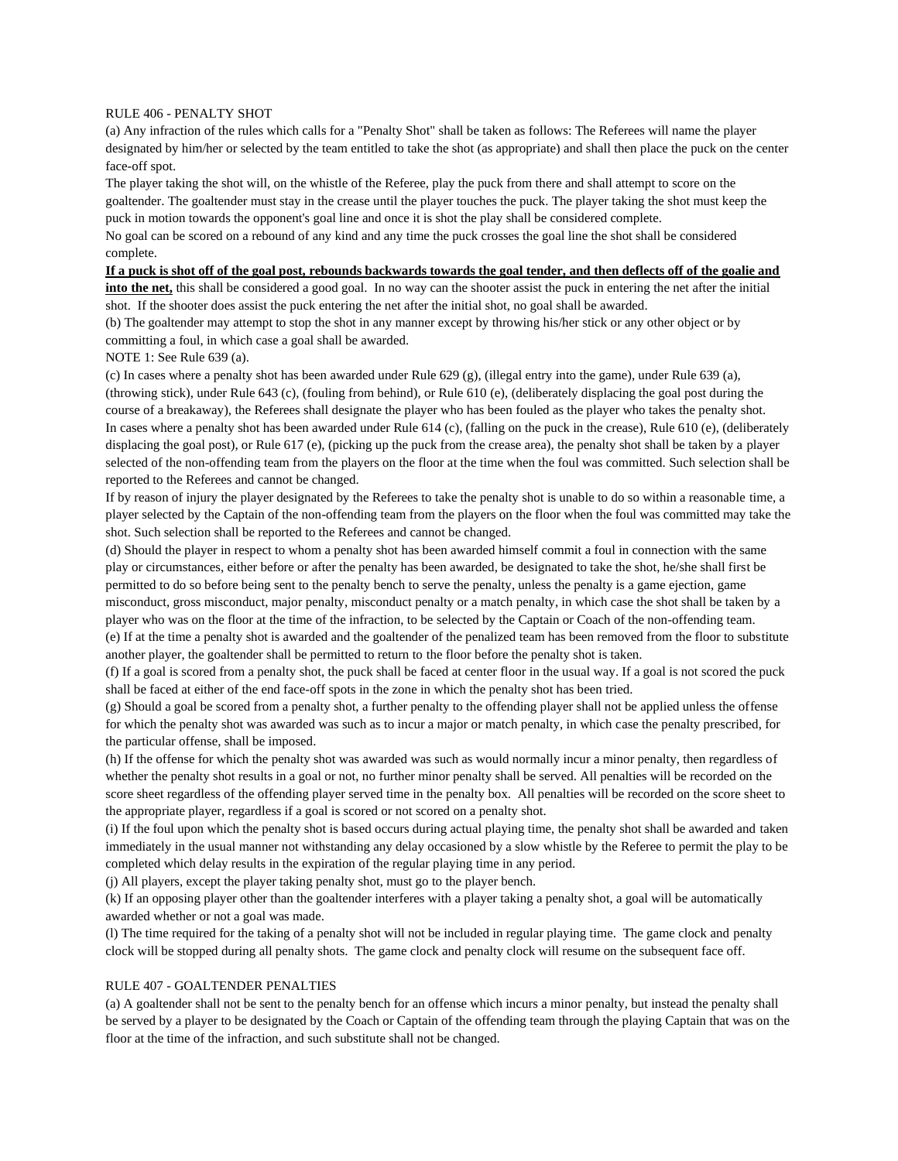## RULE 406 - PENALTY SHOT

(a) Any infraction of the rules which calls for a "Penalty Shot" shall be taken as follows: The Referees will name the player designated by him/her or selected by the team entitled to take the shot (as appropriate) and shall then place the puck on the center face-off spot.

The player taking the shot will, on the whistle of the Referee, play the puck from there and shall attempt to score on the goaltender. The goaltender must stay in the crease until the player touches the puck. The player taking the shot must keep the puck in motion towards the opponent's goal line and once it is shot the play shall be considered complete.

No goal can be scored on a rebound of any kind and any time the puck crosses the goal line the shot shall be considered complete.

### **If a puck is shot off of the goal post, rebounds backwards towards the goal tender, and then deflects off of the goalie and**

**into the net,** this shall be considered a good goal. In no way can the shooter assist the puck in entering the net after the initial shot. If the shooter does assist the puck entering the net after the initial shot, no goal shall be awarded.

(b) The goaltender may attempt to stop the shot in any manner except by throwing his/her stick or any other object or by committing a foul, in which case a goal shall be awarded.

NOTE 1: See Rule 639 (a).

(c) In cases where a penalty shot has been awarded under Rule 629 (g), (illegal entry into the game), under Rule 639 (a), (throwing stick), under Rule 643 (c), (fouling from behind), or Rule 610 (e), (deliberately displacing the goal post during the course of a breakaway), the Referees shall designate the player who has been fouled as the player who takes the penalty shot. In cases where a penalty shot has been awarded under Rule 614 (c), (falling on the puck in the crease), Rule 610 (e), (deliberately displacing the goal post), or Rule 617 (e), (picking up the puck from the crease area), the penalty shot shall be taken by a player selected of the non-offending team from the players on the floor at the time when the foul was committed. Such selection shall be reported to the Referees and cannot be changed.

If by reason of injury the player designated by the Referees to take the penalty shot is unable to do so within a reasonable time, a player selected by the Captain of the non-offending team from the players on the floor when the foul was committed may take the shot. Such selection shall be reported to the Referees and cannot be changed.

(d) Should the player in respect to whom a penalty shot has been awarded himself commit a foul in connection with the same play or circumstances, either before or after the penalty has been awarded, be designated to take the shot, he/she shall first be permitted to do so before being sent to the penalty bench to serve the penalty, unless the penalty is a game ejection, game misconduct, gross misconduct, major penalty, misconduct penalty or a match penalty, in which case the shot shall be taken by a player who was on the floor at the time of the infraction, to be selected by the Captain or Coach of the non-offending team. (e) If at the time a penalty shot is awarded and the goaltender of the penalized team has been removed from the floor to substitute another player, the goaltender shall be permitted to return to the floor before the penalty shot is taken.

(f) If a goal is scored from a penalty shot, the puck shall be faced at center floor in the usual way. If a goal is not scored the puck shall be faced at either of the end face-off spots in the zone in which the penalty shot has been tried.

(g) Should a goal be scored from a penalty shot, a further penalty to the offending player shall not be applied unless the offense for which the penalty shot was awarded was such as to incur a major or match penalty, in which case the penalty prescribed, for the particular offense, shall be imposed.

(h) If the offense for which the penalty shot was awarded was such as would normally incur a minor penalty, then regardless of whether the penalty shot results in a goal or not, no further minor penalty shall be served. All penalties will be recorded on the score sheet regardless of the offending player served time in the penalty box. All penalties will be recorded on the score sheet to the appropriate player, regardless if a goal is scored or not scored on a penalty shot.

(i) If the foul upon which the penalty shot is based occurs during actual playing time, the penalty shot shall be awarded and taken immediately in the usual manner not withstanding any delay occasioned by a slow whistle by the Referee to permit the play to be completed which delay results in the expiration of the regular playing time in any period.

(j) All players, except the player taking penalty shot, must go to the player bench.

(k) If an opposing player other than the goaltender interferes with a player taking a penalty shot, a goal will be automatically awarded whether or not a goal was made.

(l) The time required for the taking of a penalty shot will not be included in regular playing time. The game clock and penalty clock will be stopped during all penalty shots. The game clock and penalty clock will resume on the subsequent face off.

#### RULE 407 - GOALTENDER PENALTIES

(a) A goaltender shall not be sent to the penalty bench for an offense which incurs a minor penalty, but instead the penalty shall be served by a player to be designated by the Coach or Captain of the offending team through the playing Captain that was on the floor at the time of the infraction, and such substitute shall not be changed.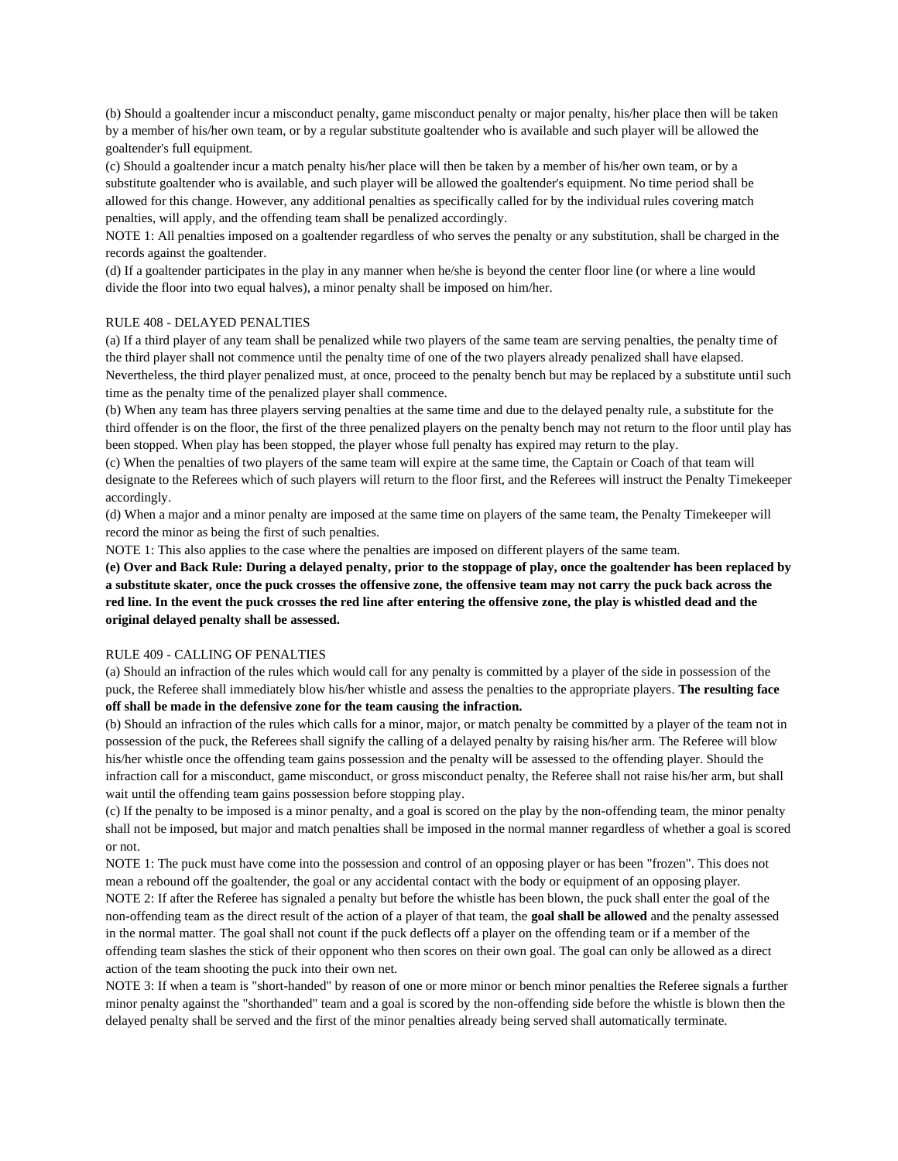(b) Should a goaltender incur a misconduct penalty, game misconduct penalty or major penalty, his/her place then will be taken by a member of his/her own team, or by a regular substitute goaltender who is available and such player will be allowed the goaltender's full equipment.

(c) Should a goaltender incur a match penalty his/her place will then be taken by a member of his/her own team, or by a substitute goaltender who is available, and such player will be allowed the goaltender's equipment. No time period shall be allowed for this change. However, any additional penalties as specifically called for by the individual rules covering match penalties, will apply, and the offending team shall be penalized accordingly.

NOTE 1: All penalties imposed on a goaltender regardless of who serves the penalty or any substitution, shall be charged in the records against the goaltender.

(d) If a goaltender participates in the play in any manner when he/she is beyond the center floor line (or where a line would divide the floor into two equal halves), a minor penalty shall be imposed on him/her.

## RULE 408 - DELAYED PENALTIES

(a) If a third player of any team shall be penalized while two players of the same team are serving penalties, the penalty time of the third player shall not commence until the penalty time of one of the two players already penalized shall have elapsed. Nevertheless, the third player penalized must, at once, proceed to the penalty bench but may be replaced by a substitute until such time as the penalty time of the penalized player shall commence.

(b) When any team has three players serving penalties at the same time and due to the delayed penalty rule, a substitute for the third offender is on the floor, the first of the three penalized players on the penalty bench may not return to the floor until play has been stopped. When play has been stopped, the player whose full penalty has expired may return to the play.

(c) When the penalties of two players of the same team will expire at the same time, the Captain or Coach of that team will designate to the Referees which of such players will return to the floor first, and the Referees will instruct the Penalty Timekeeper accordingly.

(d) When a major and a minor penalty are imposed at the same time on players of the same team, the Penalty Timekeeper will record the minor as being the first of such penalties.

NOTE 1: This also applies to the case where the penalties are imposed on different players of the same team.

**(e) Over and Back Rule: During a delayed penalty, prior to the stoppage of play, once the goaltender has been replaced by a substitute skater, once the puck crosses the offensive zone, the offensive team may not carry the puck back across the red line. In the event the puck crosses the red line after entering the offensive zone, the play is whistled dead and the original delayed penalty shall be assessed.**

#### RULE 409 - CALLING OF PENALTIES

(a) Should an infraction of the rules which would call for any penalty is committed by a player of the side in possession of the puck, the Referee shall immediately blow his/her whistle and assess the penalties to the appropriate players. **The resulting face off shall be made in the defensive zone for the team causing the infraction.**

(b) Should an infraction of the rules which calls for a minor, major, or match penalty be committed by a player of the team not in possession of the puck, the Referees shall signify the calling of a delayed penalty by raising his/her arm. The Referee will blow his/her whistle once the offending team gains possession and the penalty will be assessed to the offending player. Should the infraction call for a misconduct, game misconduct, or gross misconduct penalty, the Referee shall not raise his/her arm, but shall wait until the offending team gains possession before stopping play.

(c) If the penalty to be imposed is a minor penalty, and a goal is scored on the play by the non-offending team, the minor penalty shall not be imposed, but major and match penalties shall be imposed in the normal manner regardless of whether a goal is scored or not.

NOTE 1: The puck must have come into the possession and control of an opposing player or has been "frozen". This does not mean a rebound off the goaltender, the goal or any accidental contact with the body or equipment of an opposing player. NOTE 2: If after the Referee has signaled a penalty but before the whistle has been blown, the puck shall enter the goal of the non-offending team as the direct result of the action of a player of that team, the **goal shall be allowed** and the penalty assessed in the normal matter. The goal shall not count if the puck deflects off a player on the offending team or if a member of the offending team slashes the stick of their opponent who then scores on their own goal. The goal can only be allowed as a direct action of the team shooting the puck into their own net.

NOTE 3: If when a team is "short-handed" by reason of one or more minor or bench minor penalties the Referee signals a further minor penalty against the "shorthanded" team and a goal is scored by the non-offending side before the whistle is blown then the delayed penalty shall be served and the first of the minor penalties already being served shall automatically terminate.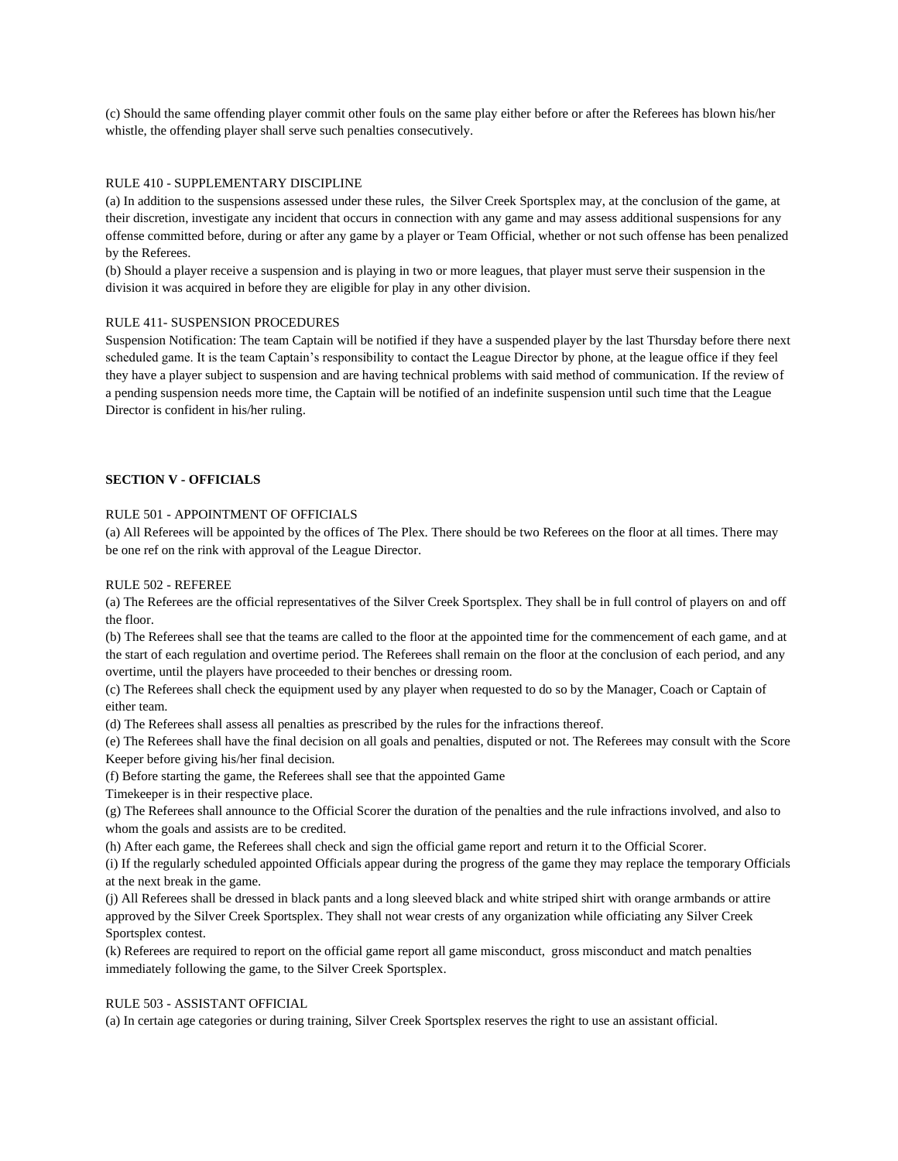(c) Should the same offending player commit other fouls on the same play either before or after the Referees has blown his/her whistle, the offending player shall serve such penalties consecutively.

#### RULE 410 - SUPPLEMENTARY DISCIPLINE

(a) In addition to the suspensions assessed under these rules, the Silver Creek Sportsplex may, at the conclusion of the game, at their discretion, investigate any incident that occurs in connection with any game and may assess additional suspensions for any offense committed before, during or after any game by a player or Team Official, whether or not such offense has been penalized by the Referees.

(b) Should a player receive a suspension and is playing in two or more leagues, that player must serve their suspension in the division it was acquired in before they are eligible for play in any other division.

## RULE 411- SUSPENSION PROCEDURES

Suspension Notification: The team Captain will be notified if they have a suspended player by the last Thursday before there next scheduled game. It is the team Captain's responsibility to contact the League Director by phone, at the league office if they feel they have a player subject to suspension and are having technical problems with said method of communication. If the review of a pending suspension needs more time, the Captain will be notified of an indefinite suspension until such time that the League Director is confident in his/her ruling.

## **SECTION V - OFFICIALS**

### RULE 501 - APPOINTMENT OF OFFICIALS

(a) All Referees will be appointed by the offices of The Plex. There should be two Referees on the floor at all times. There may be one ref on the rink with approval of the League Director.

#### RULE 502 - REFEREE

(a) The Referees are the official representatives of the Silver Creek Sportsplex. They shall be in full control of players on and off the floor.

(b) The Referees shall see that the teams are called to the floor at the appointed time for the commencement of each game, and at the start of each regulation and overtime period. The Referees shall remain on the floor at the conclusion of each period, and any overtime, until the players have proceeded to their benches or dressing room.

(c) The Referees shall check the equipment used by any player when requested to do so by the Manager, Coach or Captain of either team.

(d) The Referees shall assess all penalties as prescribed by the rules for the infractions thereof.

(e) The Referees shall have the final decision on all goals and penalties, disputed or not. The Referees may consult with the Score Keeper before giving his/her final decision.

(f) Before starting the game, the Referees shall see that the appointed Game

Timekeeper is in their respective place.

(g) The Referees shall announce to the Official Scorer the duration of the penalties and the rule infractions involved, and also to whom the goals and assists are to be credited.

(h) After each game, the Referees shall check and sign the official game report and return it to the Official Scorer.

(i) If the regularly scheduled appointed Officials appear during the progress of the game they may replace the temporary Officials at the next break in the game.

(j) All Referees shall be dressed in black pants and a long sleeved black and white striped shirt with orange armbands or attire approved by the Silver Creek Sportsplex. They shall not wear crests of any organization while officiating any Silver Creek Sportsplex contest.

(k) Referees are required to report on the official game report all game misconduct, gross misconduct and match penalties immediately following the game, to the Silver Creek Sportsplex.

#### RULE 503 - ASSISTANT OFFICIAL

(a) In certain age categories or during training, Silver Creek Sportsplex reserves the right to use an assistant official.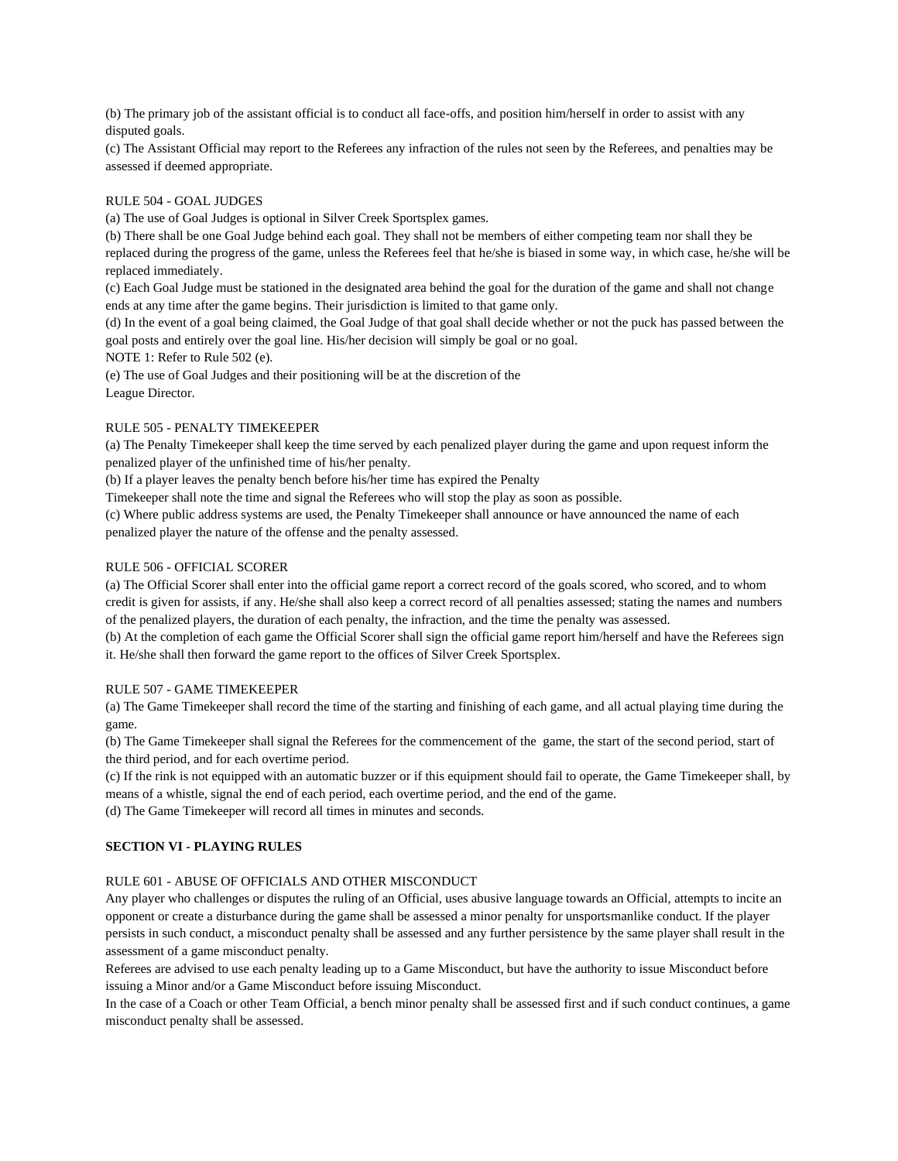(b) The primary job of the assistant official is to conduct all face-offs, and position him/herself in order to assist with any disputed goals.

(c) The Assistant Official may report to the Referees any infraction of the rules not seen by the Referees, and penalties may be assessed if deemed appropriate.

## RULE 504 - GOAL JUDGES

(a) The use of Goal Judges is optional in Silver Creek Sportsplex games.

(b) There shall be one Goal Judge behind each goal. They shall not be members of either competing team nor shall they be replaced during the progress of the game, unless the Referees feel that he/she is biased in some way, in which case, he/she will be replaced immediately.

(c) Each Goal Judge must be stationed in the designated area behind the goal for the duration of the game and shall not change ends at any time after the game begins. Their jurisdiction is limited to that game only.

(d) In the event of a goal being claimed, the Goal Judge of that goal shall decide whether or not the puck has passed between the goal posts and entirely over the goal line. His/her decision will simply be goal or no goal.

NOTE 1: Refer to Rule 502 (e).

(e) The use of Goal Judges and their positioning will be at the discretion of the League Director.

## RULE 505 - PENALTY TIMEKEEPER

(a) The Penalty Timekeeper shall keep the time served by each penalized player during the game and upon request inform the penalized player of the unfinished time of his/her penalty.

(b) If a player leaves the penalty bench before his/her time has expired the Penalty

Timekeeper shall note the time and signal the Referees who will stop the play as soon as possible.

(c) Where public address systems are used, the Penalty Timekeeper shall announce or have announced the name of each penalized player the nature of the offense and the penalty assessed.

## RULE 506 - OFFICIAL SCORER

(a) The Official Scorer shall enter into the official game report a correct record of the goals scored, who scored, and to whom credit is given for assists, if any. He/she shall also keep a correct record of all penalties assessed; stating the names and numbers of the penalized players, the duration of each penalty, the infraction, and the time the penalty was assessed.

(b) At the completion of each game the Official Scorer shall sign the official game report him/herself and have the Referees sign it. He/she shall then forward the game report to the offices of Silver Creek Sportsplex.

## RULE 507 - GAME TIMEKEEPER

(a) The Game Timekeeper shall record the time of the starting and finishing of each game, and all actual playing time during the game.

(b) The Game Timekeeper shall signal the Referees for the commencement of the game, the start of the second period, start of the third period, and for each overtime period.

(c) If the rink is not equipped with an automatic buzzer or if this equipment should fail to operate, the Game Timekeeper shall, by means of a whistle, signal the end of each period, each overtime period, and the end of the game.

(d) The Game Timekeeper will record all times in minutes and seconds.

## **SECTION VI - PLAYING RULES**

## RULE 601 - ABUSE OF OFFICIALS AND OTHER MISCONDUCT

Any player who challenges or disputes the ruling of an Official, uses abusive language towards an Official, attempts to incite an opponent or create a disturbance during the game shall be assessed a minor penalty for unsportsmanlike conduct. If the player persists in such conduct, a misconduct penalty shall be assessed and any further persistence by the same player shall result in the assessment of a game misconduct penalty.

Referees are advised to use each penalty leading up to a Game Misconduct, but have the authority to issue Misconduct before issuing a Minor and/or a Game Misconduct before issuing Misconduct.

In the case of a Coach or other Team Official, a bench minor penalty shall be assessed first and if such conduct continues, a game misconduct penalty shall be assessed.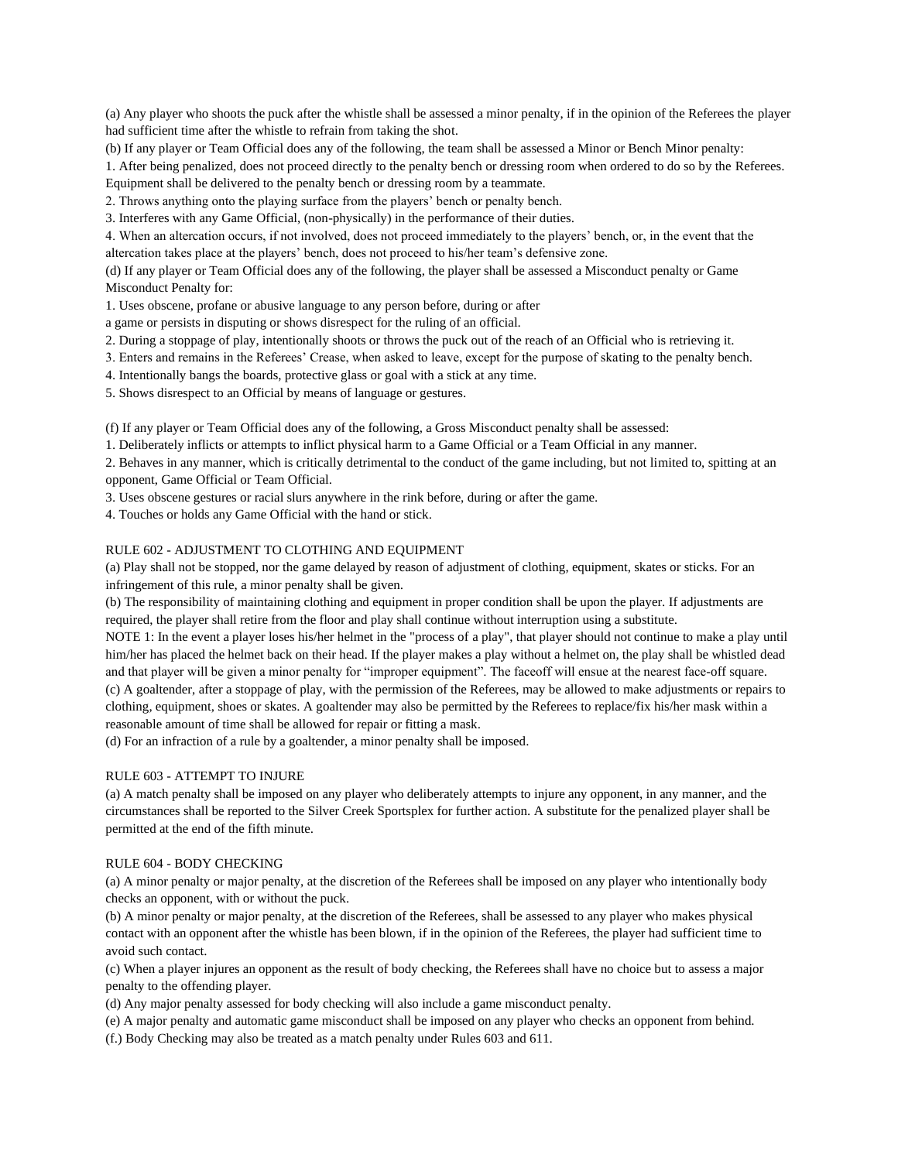(a) Any player who shoots the puck after the whistle shall be assessed a minor penalty, if in the opinion of the Referees the player had sufficient time after the whistle to refrain from taking the shot.

(b) If any player or Team Official does any of the following, the team shall be assessed a Minor or Bench Minor penalty:

1. After being penalized, does not proceed directly to the penalty bench or dressing room when ordered to do so by the Referees. Equipment shall be delivered to the penalty bench or dressing room by a teammate.

2. Throws anything onto the playing surface from the players' bench or penalty bench.

3. Interferes with any Game Official, (non-physically) in the performance of their duties.

4. When an altercation occurs, if not involved, does not proceed immediately to the players' bench, or, in the event that the altercation takes place at the players' bench, does not proceed to his/her team's defensive zone.

(d) If any player or Team Official does any of the following, the player shall be assessed a Misconduct penalty or Game Misconduct Penalty for:

1. Uses obscene, profane or abusive language to any person before, during or after

a game or persists in disputing or shows disrespect for the ruling of an official.

2. During a stoppage of play, intentionally shoots or throws the puck out of the reach of an Official who is retrieving it.

- 3. Enters and remains in the Referees' Crease, when asked to leave, except for the purpose of skating to the penalty bench.
- 4. Intentionally bangs the boards, protective glass or goal with a stick at any time.

5. Shows disrespect to an Official by means of language or gestures.

(f) If any player or Team Official does any of the following, a Gross Misconduct penalty shall be assessed:

1. Deliberately inflicts or attempts to inflict physical harm to a Game Official or a Team Official in any manner.

2. Behaves in any manner, which is critically detrimental to the conduct of the game including, but not limited to, spitting at an opponent, Game Official or Team Official.

3. Uses obscene gestures or racial slurs anywhere in the rink before, during or after the game.

4. Touches or holds any Game Official with the hand or stick.

## RULE 602 - ADJUSTMENT TO CLOTHING AND EQUIPMENT

(a) Play shall not be stopped, nor the game delayed by reason of adjustment of clothing, equipment, skates or sticks. For an infringement of this rule, a minor penalty shall be given.

(b) The responsibility of maintaining clothing and equipment in proper condition shall be upon the player. If adjustments are required, the player shall retire from the floor and play shall continue without interruption using a substitute.

NOTE 1: In the event a player loses his/her helmet in the "process of a play", that player should not continue to make a play until him/her has placed the helmet back on their head. If the player makes a play without a helmet on, the play shall be whistled dead and that player will be given a minor penalty for "improper equipment". The faceoff will ensue at the nearest face-off square. (c) A goaltender, after a stoppage of play, with the permission of the Referees, may be allowed to make adjustments or repairs to clothing, equipment, shoes or skates. A goaltender may also be permitted by the Referees to replace/fix his/her mask within a reasonable amount of time shall be allowed for repair or fitting a mask.

(d) For an infraction of a rule by a goaltender, a minor penalty shall be imposed.

### RULE 603 - ATTEMPT TO INJURE

(a) A match penalty shall be imposed on any player who deliberately attempts to injure any opponent, in any manner, and the circumstances shall be reported to the Silver Creek Sportsplex for further action. A substitute for the penalized player shall be permitted at the end of the fifth minute.

#### RULE 604 - BODY CHECKING

(a) A minor penalty or major penalty, at the discretion of the Referees shall be imposed on any player who intentionally body checks an opponent, with or without the puck.

(b) A minor penalty or major penalty, at the discretion of the Referees, shall be assessed to any player who makes physical contact with an opponent after the whistle has been blown, if in the opinion of the Referees, the player had sufficient time to avoid such contact.

(c) When a player injures an opponent as the result of body checking, the Referees shall have no choice but to assess a major penalty to the offending player.

(d) Any major penalty assessed for body checking will also include a game misconduct penalty.

(e) A major penalty and automatic game misconduct shall be imposed on any player who checks an opponent from behind.

(f.) Body Checking may also be treated as a match penalty under Rules 603 and 611.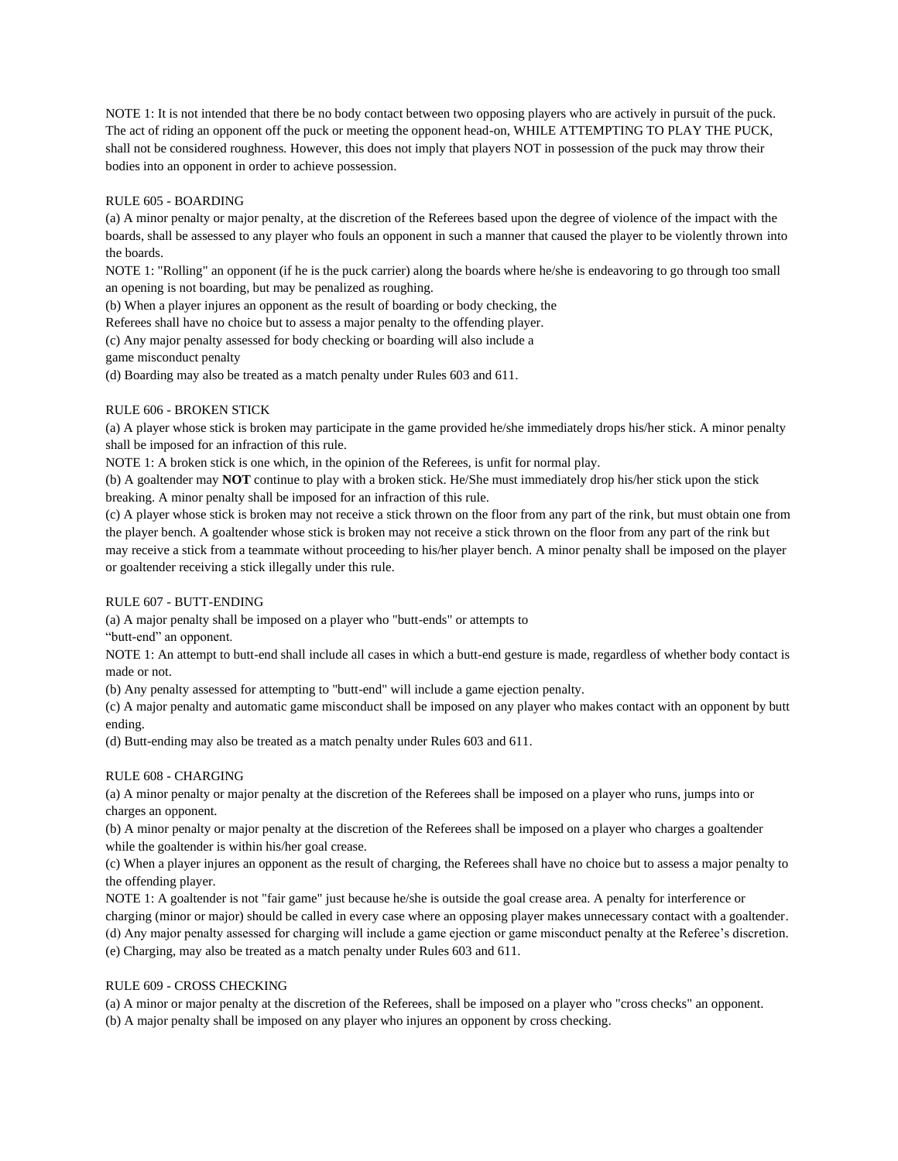NOTE 1: It is not intended that there be no body contact between two opposing players who are actively in pursuit of the puck. The act of riding an opponent off the puck or meeting the opponent head-on, WHILE ATTEMPTING TO PLAY THE PUCK, shall not be considered roughness. However, this does not imply that players NOT in possession of the puck may throw their bodies into an opponent in order to achieve possession.

## RULE 605 - BOARDING

(a) A minor penalty or major penalty, at the discretion of the Referees based upon the degree of violence of the impact with the boards, shall be assessed to any player who fouls an opponent in such a manner that caused the player to be violently thrown into the boards.

NOTE 1: "Rolling" an opponent (if he is the puck carrier) along the boards where he/she is endeavoring to go through too small an opening is not boarding, but may be penalized as roughing.

(b) When a player injures an opponent as the result of boarding or body checking, the

Referees shall have no choice but to assess a major penalty to the offending player.

(c) Any major penalty assessed for body checking or boarding will also include a

game misconduct penalty

(d) Boarding may also be treated as a match penalty under Rules 603 and 611.

#### RULE 606 - BROKEN STICK

(a) A player whose stick is broken may participate in the game provided he/she immediately drops his/her stick. A minor penalty shall be imposed for an infraction of this rule.

NOTE 1: A broken stick is one which, in the opinion of the Referees, is unfit for normal play.

(b) A goaltender may **NOT** continue to play with a broken stick. He/She must immediately drop his/her stick upon the stick breaking. A minor penalty shall be imposed for an infraction of this rule.

(c) A player whose stick is broken may not receive a stick thrown on the floor from any part of the rink, but must obtain one from the player bench. A goaltender whose stick is broken may not receive a stick thrown on the floor from any part of the rink but may receive a stick from a teammate without proceeding to his/her player bench. A minor penalty shall be imposed on the player or goaltender receiving a stick illegally under this rule.

## RULE 607 - BUTT-ENDING

(a) A major penalty shall be imposed on a player who "butt-ends" or attempts to

"butt-end" an opponent.

NOTE 1: An attempt to butt-end shall include all cases in which a butt-end gesture is made, regardless of whether body contact is made or not.

(b) Any penalty assessed for attempting to "butt-end" will include a game ejection penalty.

(c) A major penalty and automatic game misconduct shall be imposed on any player who makes contact with an opponent by butt ending.

(d) Butt-ending may also be treated as a match penalty under Rules 603 and 611.

## RULE 608 - CHARGING

(a) A minor penalty or major penalty at the discretion of the Referees shall be imposed on a player who runs, jumps into or charges an opponent.

(b) A minor penalty or major penalty at the discretion of the Referees shall be imposed on a player who charges a goaltender while the goaltender is within his/her goal crease.

(c) When a player injures an opponent as the result of charging, the Referees shall have no choice but to assess a major penalty to the offending player.

NOTE 1: A goaltender is not "fair game" just because he/she is outside the goal crease area. A penalty for interference or

charging (minor or major) should be called in every case where an opposing player makes unnecessary contact with a goaltender.

(d) Any major penalty assessed for charging will include a game ejection or game misconduct penalty at the Referee's discretion. (e) Charging, may also be treated as a match penalty under Rules 603 and 611.

#### RULE 609 - CROSS CHECKING

(a) A minor or major penalty at the discretion of the Referees, shall be imposed on a player who "cross checks" an opponent. (b) A major penalty shall be imposed on any player who injures an opponent by cross checking.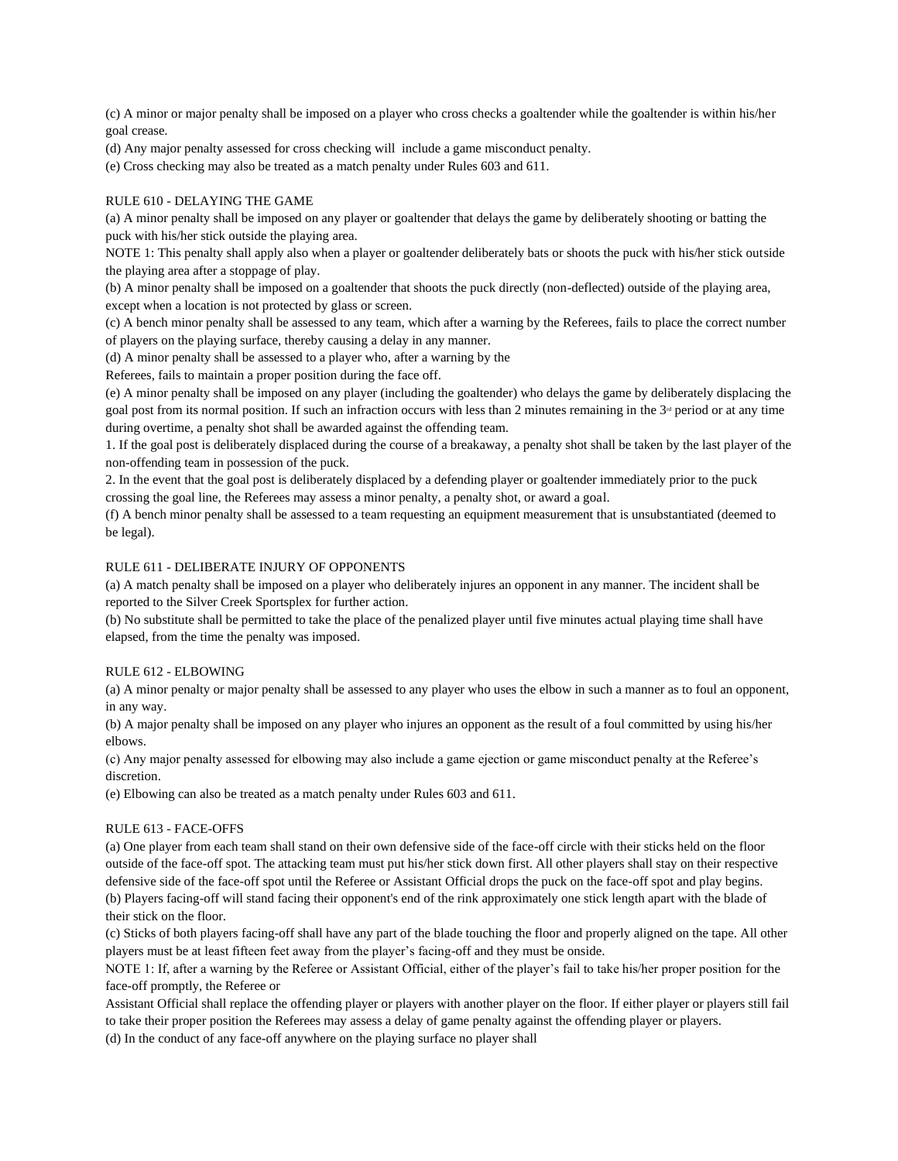(c) A minor or major penalty shall be imposed on a player who cross checks a goaltender while the goaltender is within his/her goal crease.

(d) Any major penalty assessed for cross checking will include a game misconduct penalty.

(e) Cross checking may also be treated as a match penalty under Rules 603 and 611.

#### RULE 610 - DELAYING THE GAME

(a) A minor penalty shall be imposed on any player or goaltender that delays the game by deliberately shooting or batting the puck with his/her stick outside the playing area.

NOTE 1: This penalty shall apply also when a player or goaltender deliberately bats or shoots the puck with his/her stick outside the playing area after a stoppage of play.

(b) A minor penalty shall be imposed on a goaltender that shoots the puck directly (non-deflected) outside of the playing area, except when a location is not protected by glass or screen.

(c) A bench minor penalty shall be assessed to any team, which after a warning by the Referees, fails to place the correct number of players on the playing surface, thereby causing a delay in any manner.

(d) A minor penalty shall be assessed to a player who, after a warning by the

Referees, fails to maintain a proper position during the face off.

(e) A minor penalty shall be imposed on any player (including the goaltender) who delays the game by deliberately displacing the goal post from its normal position. If such an infraction occurs with less than 2 minutes remaining in the  $3<sup>d</sup>$  period or at any time during overtime, a penalty shot shall be awarded against the offending team.

1. If the goal post is deliberately displaced during the course of a breakaway, a penalty shot shall be taken by the last player of the non-offending team in possession of the puck.

2. In the event that the goal post is deliberately displaced by a defending player or goaltender immediately prior to the puck crossing the goal line, the Referees may assess a minor penalty, a penalty shot, or award a goal.

(f) A bench minor penalty shall be assessed to a team requesting an equipment measurement that is unsubstantiated (deemed to be legal).

#### RULE 611 - DELIBERATE INJURY OF OPPONENTS

(a) A match penalty shall be imposed on a player who deliberately injures an opponent in any manner. The incident shall be reported to the Silver Creek Sportsplex for further action.

(b) No substitute shall be permitted to take the place of the penalized player until five minutes actual playing time shall have elapsed, from the time the penalty was imposed.

#### RULE 612 - ELBOWING

(a) A minor penalty or major penalty shall be assessed to any player who uses the elbow in such a manner as to foul an opponent, in any way.

(b) A major penalty shall be imposed on any player who injures an opponent as the result of a foul committed by using his/her elbows.

(c) Any major penalty assessed for elbowing may also include a game ejection or game misconduct penalty at the Referee's discretion.

(e) Elbowing can also be treated as a match penalty under Rules 603 and 611.

#### RULE 613 - FACE-OFFS

(a) One player from each team shall stand on their own defensive side of the face-off circle with their sticks held on the floor outside of the face-off spot. The attacking team must put his/her stick down first. All other players shall stay on their respective defensive side of the face-off spot until the Referee or Assistant Official drops the puck on the face-off spot and play begins. (b) Players facing-off will stand facing their opponent's end of the rink approximately one stick length apart with the blade of their stick on the floor.

(c) Sticks of both players facing-off shall have any part of the blade touching the floor and properly aligned on the tape. All other players must be at least fifteen feet away from the player's facing-off and they must be onside.

NOTE 1: If, after a warning by the Referee or Assistant Official, either of the player's fail to take his/her proper position for the face-off promptly, the Referee or

Assistant Official shall replace the offending player or players with another player on the floor. If either player or players still fail to take their proper position the Referees may assess a delay of game penalty against the offending player or players.

(d) In the conduct of any face-off anywhere on the playing surface no player shall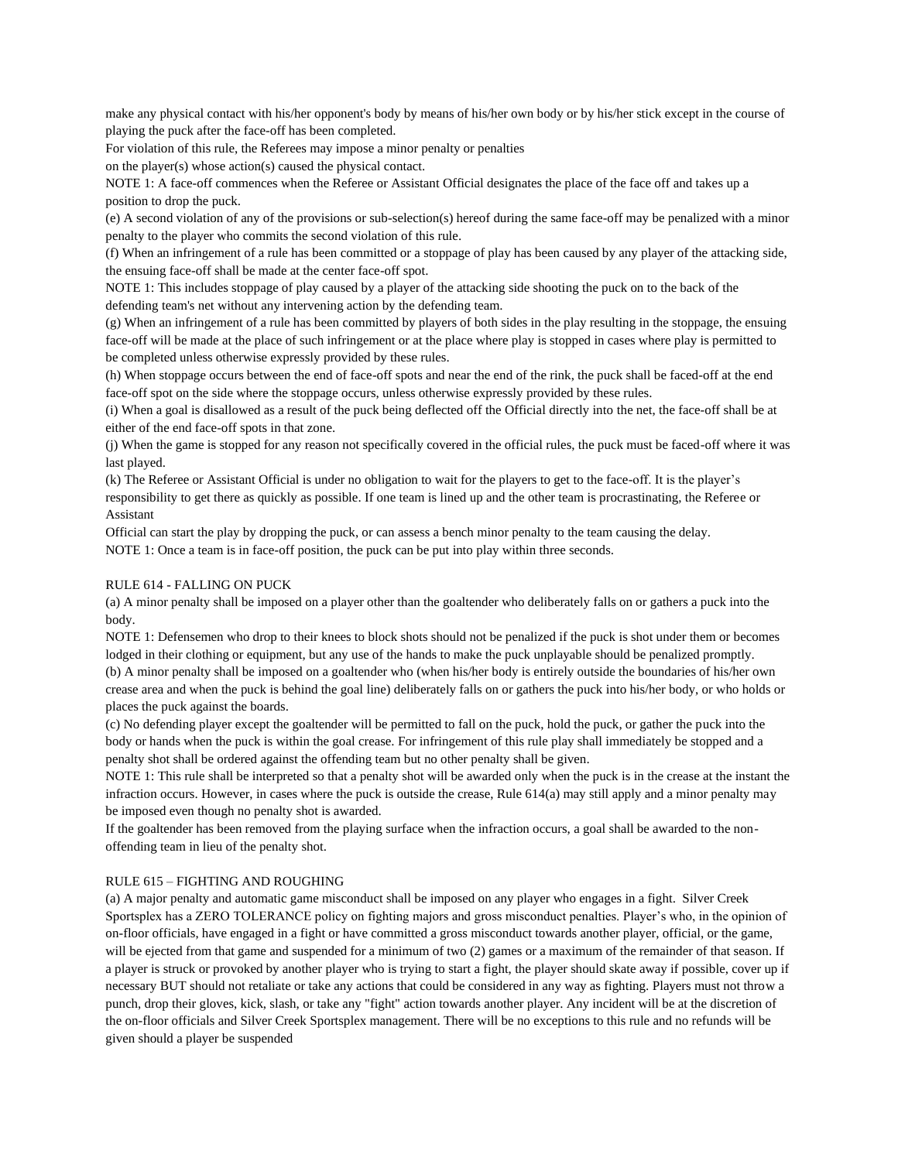make any physical contact with his/her opponent's body by means of his/her own body or by his/her stick except in the course of playing the puck after the face-off has been completed.

For violation of this rule, the Referees may impose a minor penalty or penalties

on the player(s) whose action(s) caused the physical contact.

NOTE 1: A face-off commences when the Referee or Assistant Official designates the place of the face off and takes up a position to drop the puck.

(e) A second violation of any of the provisions or sub-selection(s) hereof during the same face-off may be penalized with a minor penalty to the player who commits the second violation of this rule.

(f) When an infringement of a rule has been committed or a stoppage of play has been caused by any player of the attacking side, the ensuing face-off shall be made at the center face-off spot.

NOTE 1: This includes stoppage of play caused by a player of the attacking side shooting the puck on to the back of the defending team's net without any intervening action by the defending team.

(g) When an infringement of a rule has been committed by players of both sides in the play resulting in the stoppage, the ensuing face-off will be made at the place of such infringement or at the place where play is stopped in cases where play is permitted to be completed unless otherwise expressly provided by these rules.

(h) When stoppage occurs between the end of face-off spots and near the end of the rink, the puck shall be faced-off at the end face-off spot on the side where the stoppage occurs, unless otherwise expressly provided by these rules.

(i) When a goal is disallowed as a result of the puck being deflected off the Official directly into the net, the face-off shall be at either of the end face-off spots in that zone.

(j) When the game is stopped for any reason not specifically covered in the official rules, the puck must be faced-off where it was last played.

(k) The Referee or Assistant Official is under no obligation to wait for the players to get to the face-off. It is the player's responsibility to get there as quickly as possible. If one team is lined up and the other team is procrastinating, the Referee or Assistant

Official can start the play by dropping the puck, or can assess a bench minor penalty to the team causing the delay. NOTE 1: Once a team is in face-off position, the puck can be put into play within three seconds.

## RULE 614 - FALLING ON PUCK

(a) A minor penalty shall be imposed on a player other than the goaltender who deliberately falls on or gathers a puck into the body.

NOTE 1: Defensemen who drop to their knees to block shots should not be penalized if the puck is shot under them or becomes lodged in their clothing or equipment, but any use of the hands to make the puck unplayable should be penalized promptly. (b) A minor penalty shall be imposed on a goaltender who (when his/her body is entirely outside the boundaries of his/her own crease area and when the puck is behind the goal line) deliberately falls on or gathers the puck into his/her body, or who holds or places the puck against the boards.

(c) No defending player except the goaltender will be permitted to fall on the puck, hold the puck, or gather the puck into the body or hands when the puck is within the goal crease. For infringement of this rule play shall immediately be stopped and a penalty shot shall be ordered against the offending team but no other penalty shall be given.

NOTE 1: This rule shall be interpreted so that a penalty shot will be awarded only when the puck is in the crease at the instant the infraction occurs. However, in cases where the puck is outside the crease, Rule 614(a) may still apply and a minor penalty may be imposed even though no penalty shot is awarded.

If the goaltender has been removed from the playing surface when the infraction occurs, a goal shall be awarded to the nonoffending team in lieu of the penalty shot.

#### RULE 615 – FIGHTING AND ROUGHING

(a) A major penalty and automatic game misconduct shall be imposed on any player who engages in a fight. Silver Creek Sportsplex has a ZERO TOLERANCE policy on fighting majors and gross misconduct penalties. Player's who, in the opinion of on-floor officials, have engaged in a fight or have committed a gross misconduct towards another player, official, or the game, will be ejected from that game and suspended for a minimum of two (2) games or a maximum of the remainder of that season. If a player is struck or provoked by another player who is trying to start a fight, the player should skate away if possible, cover up if necessary BUT should not retaliate or take any actions that could be considered in any way as fighting. Players must not throw a punch, drop their gloves, kick, slash, or take any "fight" action towards another player. Any incident will be at the discretion of the on-floor officials and Silver Creek Sportsplex management. There will be no exceptions to this rule and no refunds will be given should a player be suspended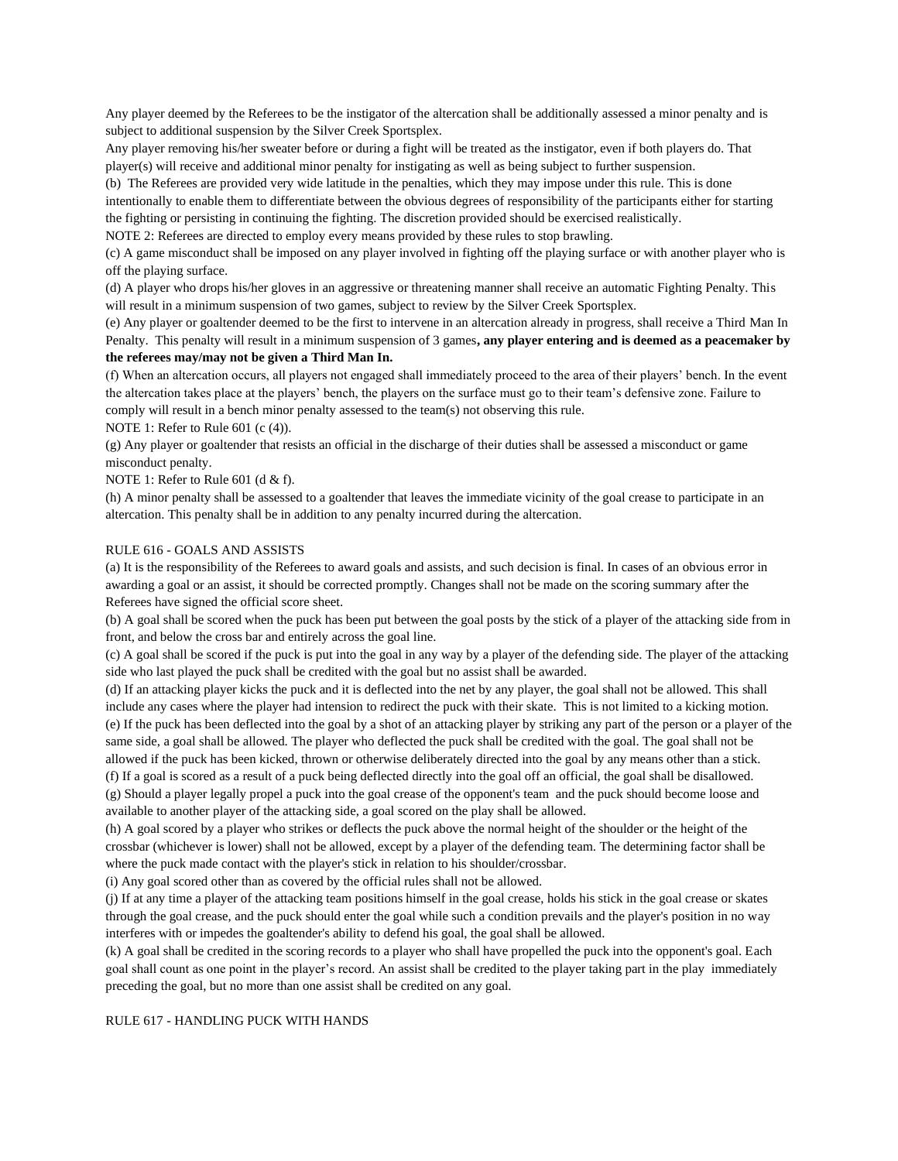Any player deemed by the Referees to be the instigator of the altercation shall be additionally assessed a minor penalty and is subject to additional suspension by the Silver Creek Sportsplex.

Any player removing his/her sweater before or during a fight will be treated as the instigator, even if both players do. That player(s) will receive and additional minor penalty for instigating as well as being subject to further suspension.

(b) The Referees are provided very wide latitude in the penalties, which they may impose under this rule. This is done intentionally to enable them to differentiate between the obvious degrees of responsibility of the participants either for starting the fighting or persisting in continuing the fighting. The discretion provided should be exercised realistically.

NOTE 2: Referees are directed to employ every means provided by these rules to stop brawling.

(c) A game misconduct shall be imposed on any player involved in fighting off the playing surface or with another player who is off the playing surface.

(d) A player who drops his/her gloves in an aggressive or threatening manner shall receive an automatic Fighting Penalty. This will result in a minimum suspension of two games, subject to review by the Silver Creek Sportsplex.

(e) Any player or goaltender deemed to be the first to intervene in an altercation already in progress, shall receive a Third Man In Penalty. This penalty will result in a minimum suspension of 3 games**, any player entering and is deemed as a peacemaker by the referees may/may not be given a Third Man In.**

(f) When an altercation occurs, all players not engaged shall immediately proceed to the area of their players' bench. In the event the altercation takes place at the players' bench, the players on the surface must go to their team's defensive zone. Failure to comply will result in a bench minor penalty assessed to the team(s) not observing this rule.

NOTE 1: Refer to Rule 601 (c (4)).

(g) Any player or goaltender that resists an official in the discharge of their duties shall be assessed a misconduct or game misconduct penalty.

NOTE 1: Refer to Rule 601 (d & f).

(h) A minor penalty shall be assessed to a goaltender that leaves the immediate vicinity of the goal crease to participate in an altercation. This penalty shall be in addition to any penalty incurred during the altercation.

## RULE 616 - GOALS AND ASSISTS

(a) It is the responsibility of the Referees to award goals and assists, and such decision is final. In cases of an obvious error in awarding a goal or an assist, it should be corrected promptly. Changes shall not be made on the scoring summary after the Referees have signed the official score sheet.

(b) A goal shall be scored when the puck has been put between the goal posts by the stick of a player of the attacking side from in front, and below the cross bar and entirely across the goal line.

(c) A goal shall be scored if the puck is put into the goal in any way by a player of the defending side. The player of the attacking side who last played the puck shall be credited with the goal but no assist shall be awarded.

(d) If an attacking player kicks the puck and it is deflected into the net by any player, the goal shall not be allowed. This shall include any cases where the player had intension to redirect the puck with their skate. This is not limited to a kicking motion. (e) If the puck has been deflected into the goal by a shot of an attacking player by striking any part of the person or a player of the same side, a goal shall be allowed. The player who deflected the puck shall be credited with the goal. The goal shall not be allowed if the puck has been kicked, thrown or otherwise deliberately directed into the goal by any means other than a stick.

(f) If a goal is scored as a result of a puck being deflected directly into the goal off an official, the goal shall be disallowed. (g) Should a player legally propel a puck into the goal crease of the opponent's team and the puck should become loose and available to another player of the attacking side, a goal scored on the play shall be allowed.

(h) A goal scored by a player who strikes or deflects the puck above the normal height of the shoulder or the height of the crossbar (whichever is lower) shall not be allowed, except by a player of the defending team. The determining factor shall be where the puck made contact with the player's stick in relation to his shoulder/crossbar.

(i) Any goal scored other than as covered by the official rules shall not be allowed.

(j) If at any time a player of the attacking team positions himself in the goal crease, holds his stick in the goal crease or skates through the goal crease, and the puck should enter the goal while such a condition prevails and the player's position in no way interferes with or impedes the goaltender's ability to defend his goal, the goal shall be allowed.

(k) A goal shall be credited in the scoring records to a player who shall have propelled the puck into the opponent's goal. Each goal shall count as one point in the player's record. An assist shall be credited to the player taking part in the play immediately preceding the goal, but no more than one assist shall be credited on any goal.

#### RULE 617 - HANDLING PUCK WITH HANDS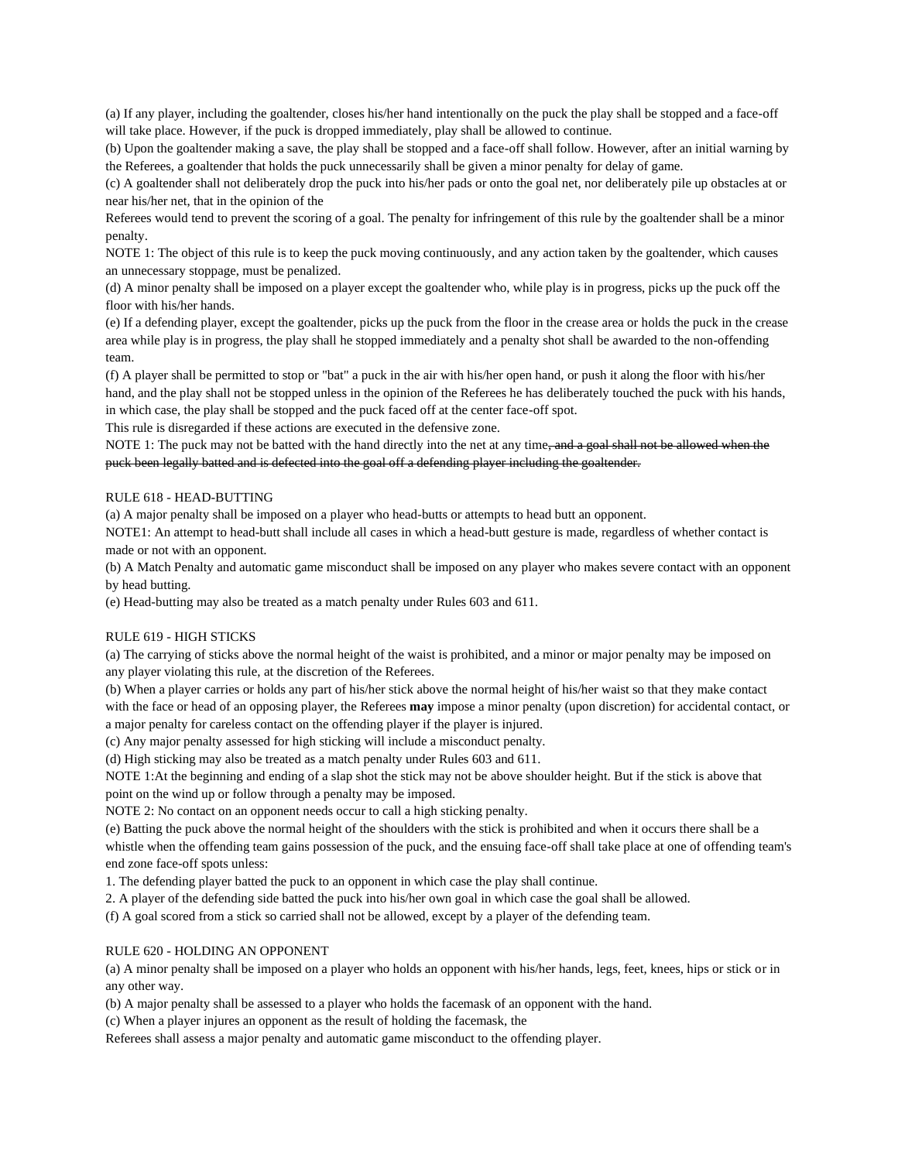(a) If any player, including the goaltender, closes his/her hand intentionally on the puck the play shall be stopped and a face-off will take place. However, if the puck is dropped immediately, play shall be allowed to continue.

(b) Upon the goaltender making a save, the play shall be stopped and a face-off shall follow. However, after an initial warning by the Referees, a goaltender that holds the puck unnecessarily shall be given a minor penalty for delay of game.

(c) A goaltender shall not deliberately drop the puck into his/her pads or onto the goal net, nor deliberately pile up obstacles at or near his/her net, that in the opinion of the

Referees would tend to prevent the scoring of a goal. The penalty for infringement of this rule by the goaltender shall be a minor penalty.

NOTE 1: The object of this rule is to keep the puck moving continuously, and any action taken by the goaltender, which causes an unnecessary stoppage, must be penalized.

(d) A minor penalty shall be imposed on a player except the goaltender who, while play is in progress, picks up the puck off the floor with his/her hands.

(e) If a defending player, except the goaltender, picks up the puck from the floor in the crease area or holds the puck in the crease area while play is in progress, the play shall he stopped immediately and a penalty shot shall be awarded to the non-offending team.

(f) A player shall be permitted to stop or "bat" a puck in the air with his/her open hand, or push it along the floor with his/her hand, and the play shall not be stopped unless in the opinion of the Referees he has deliberately touched the puck with his hands, in which case, the play shall be stopped and the puck faced off at the center face-off spot.

This rule is disregarded if these actions are executed in the defensive zone.

NOTE 1: The puck may not be batted with the hand directly into the net at any time, and a goal shall not be allowed when the puck been legally batted and is defected into the goal off a defending player including the goaltender.

#### RULE 618 - HEAD-BUTTING

(a) A major penalty shall be imposed on a player who head-butts or attempts to head butt an opponent.

NOTE1: An attempt to head-butt shall include all cases in which a head-butt gesture is made, regardless of whether contact is made or not with an opponent.

(b) A Match Penalty and automatic game misconduct shall be imposed on any player who makes severe contact with an opponent by head butting.

(e) Head-butting may also be treated as a match penalty under Rules 603 and 611.

# RULE 619 - HIGH STICKS

(a) The carrying of sticks above the normal height of the waist is prohibited, and a minor or major penalty may be imposed on any player violating this rule, at the discretion of the Referees.

(b) When a player carries or holds any part of his/her stick above the normal height of his/her waist so that they make contact with the face or head of an opposing player, the Referees **may** impose a minor penalty (upon discretion) for accidental contact, or a major penalty for careless contact on the offending player if the player is injured.

(c) Any major penalty assessed for high sticking will include a misconduct penalty.

(d) High sticking may also be treated as a match penalty under Rules 603 and 611.

NOTE 1:At the beginning and ending of a slap shot the stick may not be above shoulder height. But if the stick is above that point on the wind up or follow through a penalty may be imposed.

NOTE 2: No contact on an opponent needs occur to call a high sticking penalty.

(e) Batting the puck above the normal height of the shoulders with the stick is prohibited and when it occurs there shall be a whistle when the offending team gains possession of the puck, and the ensuing face-off shall take place at one of offending team's end zone face-off spots unless:

1. The defending player batted the puck to an opponent in which case the play shall continue.

2. A player of the defending side batted the puck into his/her own goal in which case the goal shall be allowed.

(f) A goal scored from a stick so carried shall not be allowed, except by a player of the defending team.

#### RULE 620 - HOLDING AN OPPONENT

(a) A minor penalty shall be imposed on a player who holds an opponent with his/her hands, legs, feet, knees, hips or stick or in any other way.

(b) A major penalty shall be assessed to a player who holds the facemask of an opponent with the hand.

(c) When a player injures an opponent as the result of holding the facemask, the

Referees shall assess a major penalty and automatic game misconduct to the offending player.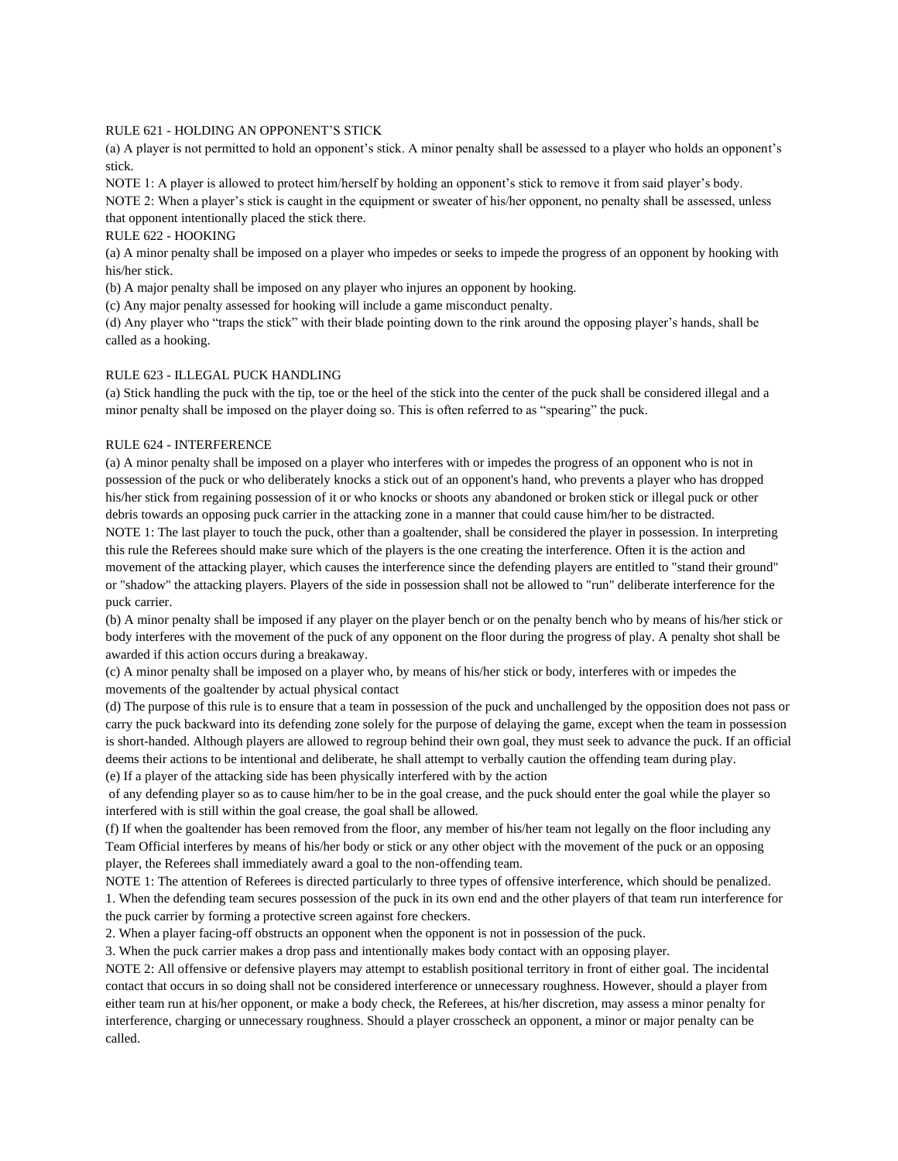#### RULE 621 - HOLDING AN OPPONENT'S STICK

(a) A player is not permitted to hold an opponent's stick. A minor penalty shall be assessed to a player who holds an opponent's stick.

NOTE 1: A player is allowed to protect him/herself by holding an opponent's stick to remove it from said player's body. NOTE 2: When a player's stick is caught in the equipment or sweater of his/her opponent, no penalty shall be assessed, unless that opponent intentionally placed the stick there.

RULE 622 - HOOKING

(a) A minor penalty shall be imposed on a player who impedes or seeks to impede the progress of an opponent by hooking with his/her stick.

(b) A major penalty shall be imposed on any player who injures an opponent by hooking.

(c) Any major penalty assessed for hooking will include a game misconduct penalty.

(d) Any player who "traps the stick" with their blade pointing down to the rink around the opposing player's hands, shall be called as a hooking.

#### RULE 623 - ILLEGAL PUCK HANDLING

(a) Stick handling the puck with the tip, toe or the heel of the stick into the center of the puck shall be considered illegal and a minor penalty shall be imposed on the player doing so. This is often referred to as "spearing" the puck.

#### RULE 624 - INTERFERENCE

(a) A minor penalty shall be imposed on a player who interferes with or impedes the progress of an opponent who is not in possession of the puck or who deliberately knocks a stick out of an opponent's hand, who prevents a player who has dropped his/her stick from regaining possession of it or who knocks or shoots any abandoned or broken stick or illegal puck or other debris towards an opposing puck carrier in the attacking zone in a manner that could cause him/her to be distracted.

NOTE 1: The last player to touch the puck, other than a goaltender, shall be considered the player in possession. In interpreting this rule the Referees should make sure which of the players is the one creating the interference. Often it is the action and movement of the attacking player, which causes the interference since the defending players are entitled to "stand their ground" or "shadow" the attacking players. Players of the side in possession shall not be allowed to "run" deliberate interference for the puck carrier.

(b) A minor penalty shall be imposed if any player on the player bench or on the penalty bench who by means of his/her stick or body interferes with the movement of the puck of any opponent on the floor during the progress of play. A penalty shot shall be awarded if this action occurs during a breakaway.

(c) A minor penalty shall be imposed on a player who, by means of his/her stick or body, interferes with or impedes the movements of the goaltender by actual physical contact

(d) The purpose of this rule is to ensure that a team in possession of the puck and unchallenged by the opposition does not pass or carry the puck backward into its defending zone solely for the purpose of delaying the game, except when the team in possession is short-handed. Although players are allowed to regroup behind their own goal, they must seek to advance the puck. If an official deems their actions to be intentional and deliberate, he shall attempt to verbally caution the offending team during play.

(e) If a player of the attacking side has been physically interfered with by the action

of any defending player so as to cause him/her to be in the goal crease, and the puck should enter the goal while the player so interfered with is still within the goal crease, the goal shall be allowed.

(f) If when the goaltender has been removed from the floor, any member of his/her team not legally on the floor including any Team Official interferes by means of his/her body or stick or any other object with the movement of the puck or an opposing player, the Referees shall immediately award a goal to the non-offending team.

NOTE 1: The attention of Referees is directed particularly to three types of offensive interference, which should be penalized. 1. When the defending team secures possession of the puck in its own end and the other players of that team run interference for the puck carrier by forming a protective screen against fore checkers.

2. When a player facing-off obstructs an opponent when the opponent is not in possession of the puck.

3. When the puck carrier makes a drop pass and intentionally makes body contact with an opposing player.

NOTE 2: All offensive or defensive players may attempt to establish positional territory in front of either goal. The incidental contact that occurs in so doing shall not be considered interference or unnecessary roughness. However, should a player from either team run at his/her opponent, or make a body check, the Referees, at his/her discretion, may assess a minor penalty for interference, charging or unnecessary roughness. Should a player crosscheck an opponent, a minor or major penalty can be called.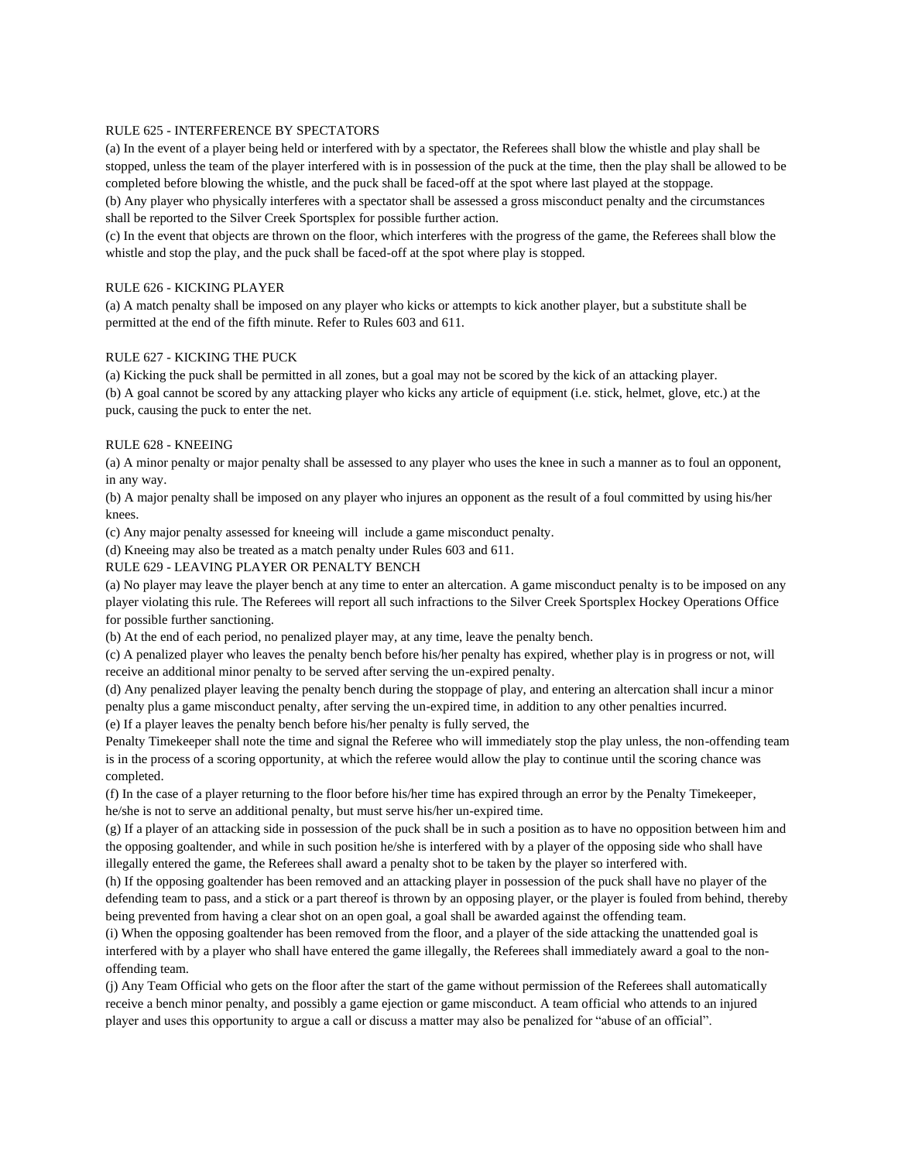#### RULE 625 - INTERFERENCE BY SPECTATORS

(a) In the event of a player being held or interfered with by a spectator, the Referees shall blow the whistle and play shall be stopped, unless the team of the player interfered with is in possession of the puck at the time, then the play shall be allowed to be completed before blowing the whistle, and the puck shall be faced-off at the spot where last played at the stoppage.

(b) Any player who physically interferes with a spectator shall be assessed a gross misconduct penalty and the circumstances shall be reported to the Silver Creek Sportsplex for possible further action.

(c) In the event that objects are thrown on the floor, which interferes with the progress of the game, the Referees shall blow the whistle and stop the play, and the puck shall be faced-off at the spot where play is stopped.

#### RULE 626 - KICKING PLAYER

(a) A match penalty shall be imposed on any player who kicks or attempts to kick another player, but a substitute shall be permitted at the end of the fifth minute. Refer to Rules 603 and 611.

## RULE 627 - KICKING THE PUCK

(a) Kicking the puck shall be permitted in all zones, but a goal may not be scored by the kick of an attacking player.

(b) A goal cannot be scored by any attacking player who kicks any article of equipment (i.e. stick, helmet, glove, etc.) at the puck, causing the puck to enter the net.

#### RULE 628 - KNEEING

(a) A minor penalty or major penalty shall be assessed to any player who uses the knee in such a manner as to foul an opponent, in any way.

(b) A major penalty shall be imposed on any player who injures an opponent as the result of a foul committed by using his/her knees.

(c) Any major penalty assessed for kneeing will include a game misconduct penalty.

(d) Kneeing may also be treated as a match penalty under Rules 603 and 611.

#### RULE 629 - LEAVING PLAYER OR PENALTY BENCH

(a) No player may leave the player bench at any time to enter an altercation. A game misconduct penalty is to be imposed on any player violating this rule. The Referees will report all such infractions to the Silver Creek Sportsplex Hockey Operations Office for possible further sanctioning.

(b) At the end of each period, no penalized player may, at any time, leave the penalty bench.

(c) A penalized player who leaves the penalty bench before his/her penalty has expired, whether play is in progress or not, will receive an additional minor penalty to be served after serving the un-expired penalty.

(d) Any penalized player leaving the penalty bench during the stoppage of play, and entering an altercation shall incur a minor penalty plus a game misconduct penalty, after serving the un-expired time, in addition to any other penalties incurred. (e) If a player leaves the penalty bench before his/her penalty is fully served, the

Penalty Timekeeper shall note the time and signal the Referee who will immediately stop the play unless, the non-offending team is in the process of a scoring opportunity, at which the referee would allow the play to continue until the scoring chance was completed.

(f) In the case of a player returning to the floor before his/her time has expired through an error by the Penalty Timekeeper, he/she is not to serve an additional penalty, but must serve his/her un-expired time.

(g) If a player of an attacking side in possession of the puck shall be in such a position as to have no opposition between him and the opposing goaltender, and while in such position he/she is interfered with by a player of the opposing side who shall have illegally entered the game, the Referees shall award a penalty shot to be taken by the player so interfered with.

(h) If the opposing goaltender has been removed and an attacking player in possession of the puck shall have no player of the defending team to pass, and a stick or a part thereof is thrown by an opposing player, or the player is fouled from behind, thereby being prevented from having a clear shot on an open goal, a goal shall be awarded against the offending team.

(i) When the opposing goaltender has been removed from the floor, and a player of the side attacking the unattended goal is interfered with by a player who shall have entered the game illegally, the Referees shall immediately award a goal to the nonoffending team.

(j) Any Team Official who gets on the floor after the start of the game without permission of the Referees shall automatically receive a bench minor penalty, and possibly a game ejection or game misconduct. A team official who attends to an injured player and uses this opportunity to argue a call or discuss a matter may also be penalized for "abuse of an official".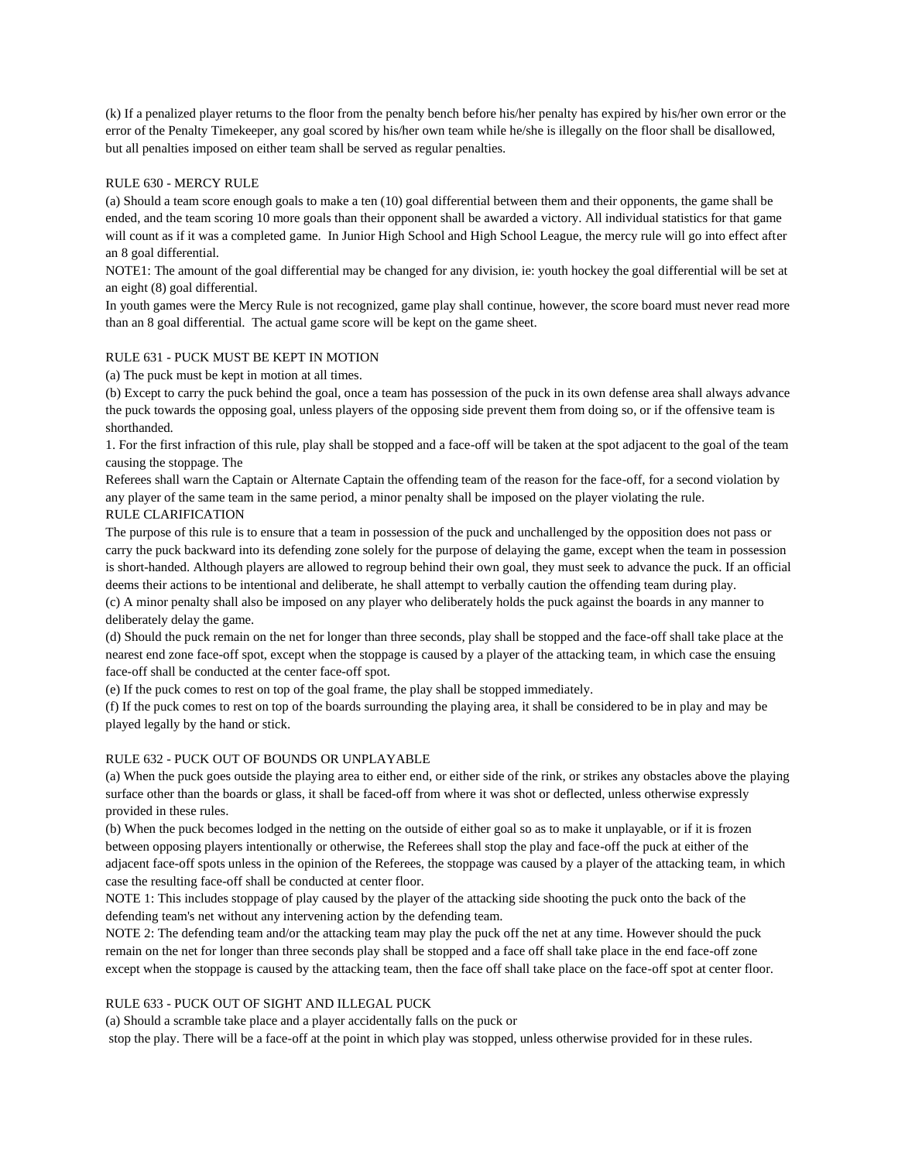(k) If a penalized player returns to the floor from the penalty bench before his/her penalty has expired by his/her own error or the error of the Penalty Timekeeper, any goal scored by his/her own team while he/she is illegally on the floor shall be disallowed, but all penalties imposed on either team shall be served as regular penalties.

#### RULE 630 - MERCY RULE

(a) Should a team score enough goals to make a ten (10) goal differential between them and their opponents, the game shall be ended, and the team scoring 10 more goals than their opponent shall be awarded a victory. All individual statistics for that game will count as if it was a completed game. In Junior High School and High School League, the mercy rule will go into effect after an 8 goal differential.

NOTE1: The amount of the goal differential may be changed for any division, ie: youth hockey the goal differential will be set at an eight (8) goal differential.

In youth games were the Mercy Rule is not recognized, game play shall continue, however, the score board must never read more than an 8 goal differential. The actual game score will be kept on the game sheet.

#### RULE 631 - PUCK MUST BE KEPT IN MOTION

(a) The puck must be kept in motion at all times.

(b) Except to carry the puck behind the goal, once a team has possession of the puck in its own defense area shall always advance the puck towards the opposing goal, unless players of the opposing side prevent them from doing so, or if the offensive team is shorthanded.

1. For the first infraction of this rule, play shall be stopped and a face-off will be taken at the spot adjacent to the goal of the team causing the stoppage. The

Referees shall warn the Captain or Alternate Captain the offending team of the reason for the face-off, for a second violation by any player of the same team in the same period, a minor penalty shall be imposed on the player violating the rule. RULE CLARIFICATION

The purpose of this rule is to ensure that a team in possession of the puck and unchallenged by the opposition does not pass or carry the puck backward into its defending zone solely for the purpose of delaying the game, except when the team in possession is short-handed. Although players are allowed to regroup behind their own goal, they must seek to advance the puck. If an official deems their actions to be intentional and deliberate, he shall attempt to verbally caution the offending team during play. (c) A minor penalty shall also be imposed on any player who deliberately holds the puck against the boards in any manner to deliberately delay the game.

(d) Should the puck remain on the net for longer than three seconds, play shall be stopped and the face-off shall take place at the nearest end zone face-off spot, except when the stoppage is caused by a player of the attacking team, in which case the ensuing face-off shall be conducted at the center face-off spot.

(e) If the puck comes to rest on top of the goal frame, the play shall be stopped immediately.

(f) If the puck comes to rest on top of the boards surrounding the playing area, it shall be considered to be in play and may be played legally by the hand or stick.

### RULE 632 - PUCK OUT OF BOUNDS OR UNPLAYABLE

(a) When the puck goes outside the playing area to either end, or either side of the rink, or strikes any obstacles above the playing surface other than the boards or glass, it shall be faced-off from where it was shot or deflected, unless otherwise expressly provided in these rules.

(b) When the puck becomes lodged in the netting on the outside of either goal so as to make it unplayable, or if it is frozen between opposing players intentionally or otherwise, the Referees shall stop the play and face-off the puck at either of the adjacent face-off spots unless in the opinion of the Referees, the stoppage was caused by a player of the attacking team, in which case the resulting face-off shall be conducted at center floor.

NOTE 1: This includes stoppage of play caused by the player of the attacking side shooting the puck onto the back of the defending team's net without any intervening action by the defending team.

NOTE 2: The defending team and/or the attacking team may play the puck off the net at any time. However should the puck remain on the net for longer than three seconds play shall be stopped and a face off shall take place in the end face-off zone except when the stoppage is caused by the attacking team, then the face off shall take place on the face-off spot at center floor.

# RULE 633 - PUCK OUT OF SIGHT AND ILLEGAL PUCK

(a) Should a scramble take place and a player accidentally falls on the puck or

stop the play. There will be a face-off at the point in which play was stopped, unless otherwise provided for in these rules.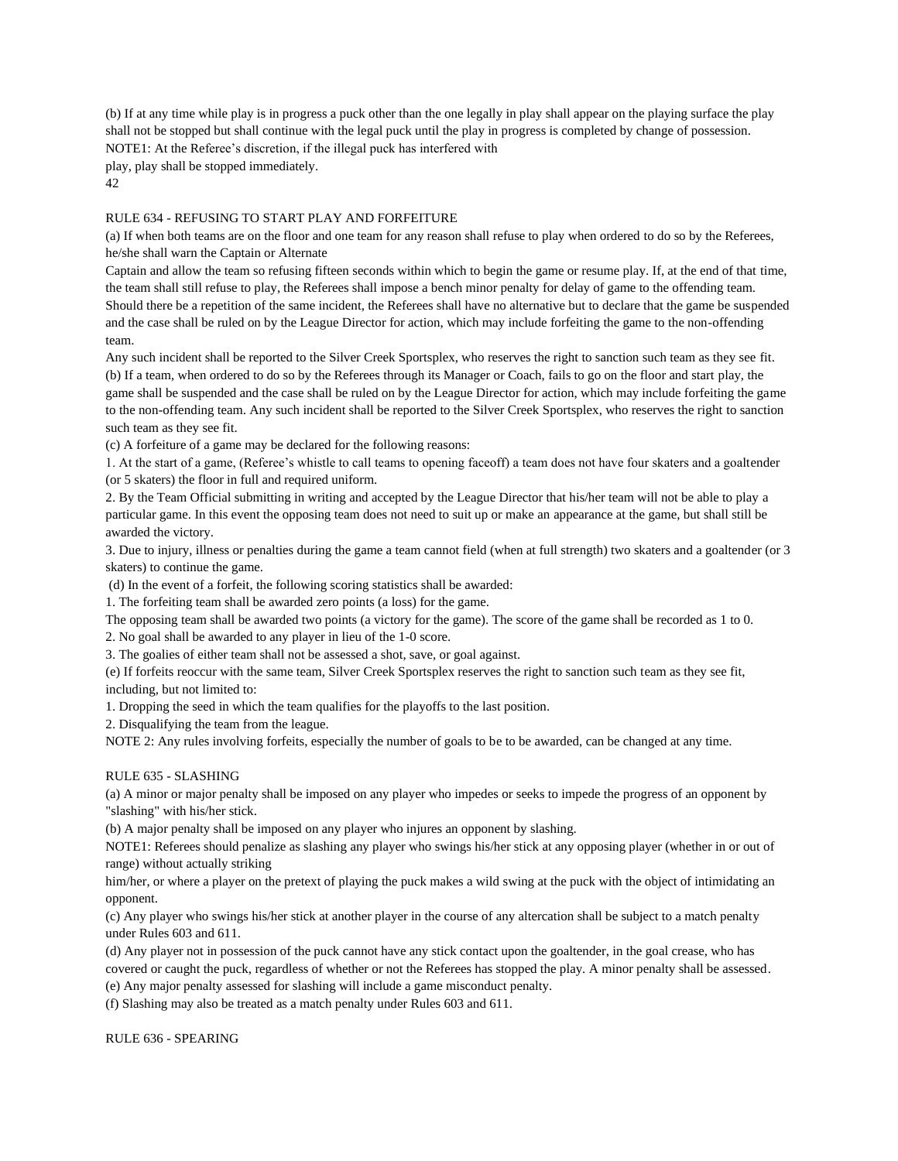(b) If at any time while play is in progress a puck other than the one legally in play shall appear on the playing surface the play shall not be stopped but shall continue with the legal puck until the play in progress is completed by change of possession. NOTE1: At the Referee's discretion, if the illegal puck has interfered with

play, play shall be stopped immediately.

42

# RULE 634 - REFUSING TO START PLAY AND FORFEITURE

(a) If when both teams are on the floor and one team for any reason shall refuse to play when ordered to do so by the Referees, he/she shall warn the Captain or Alternate

Captain and allow the team so refusing fifteen seconds within which to begin the game or resume play. If, at the end of that time, the team shall still refuse to play, the Referees shall impose a bench minor penalty for delay of game to the offending team. Should there be a repetition of the same incident, the Referees shall have no alternative but to declare that the game be suspended and the case shall be ruled on by the League Director for action, which may include forfeiting the game to the non-offending team.

Any such incident shall be reported to the Silver Creek Sportsplex, who reserves the right to sanction such team as they see fit. (b) If a team, when ordered to do so by the Referees through its Manager or Coach, fails to go on the floor and start play, the game shall be suspended and the case shall be ruled on by the League Director for action, which may include forfeiting the game to the non-offending team. Any such incident shall be reported to the Silver Creek Sportsplex, who reserves the right to sanction such team as they see fit.

(c) A forfeiture of a game may be declared for the following reasons:

1. At the start of a game, (Referee's whistle to call teams to opening faceoff) a team does not have four skaters and a goaltender (or 5 skaters) the floor in full and required uniform.

2. By the Team Official submitting in writing and accepted by the League Director that his/her team will not be able to play a particular game. In this event the opposing team does not need to suit up or make an appearance at the game, but shall still be awarded the victory.

3. Due to injury, illness or penalties during the game a team cannot field (when at full strength) two skaters and a goaltender (or 3 skaters) to continue the game.

(d) In the event of a forfeit, the following scoring statistics shall be awarded:

1. The forfeiting team shall be awarded zero points (a loss) for the game.

The opposing team shall be awarded two points (a victory for the game). The score of the game shall be recorded as 1 to 0.

2. No goal shall be awarded to any player in lieu of the 1-0 score.

3. The goalies of either team shall not be assessed a shot, save, or goal against.

(e) If forfeits reoccur with the same team, Silver Creek Sportsplex reserves the right to sanction such team as they see fit, including, but not limited to:

1. Dropping the seed in which the team qualifies for the playoffs to the last position.

2. Disqualifying the team from the league.

NOTE 2: Any rules involving forfeits, especially the number of goals to be to be awarded, can be changed at any time.

## RULE 635 - SLASHING

(a) A minor or major penalty shall be imposed on any player who impedes or seeks to impede the progress of an opponent by "slashing" with his/her stick.

(b) A major penalty shall be imposed on any player who injures an opponent by slashing.

NOTE1: Referees should penalize as slashing any player who swings his/her stick at any opposing player (whether in or out of range) without actually striking

him/her, or where a player on the pretext of playing the puck makes a wild swing at the puck with the object of intimidating an opponent.

(c) Any player who swings his/her stick at another player in the course of any altercation shall be subject to a match penalty under Rules 603 and 611.

(d) Any player not in possession of the puck cannot have any stick contact upon the goaltender, in the goal crease, who has covered or caught the puck, regardless of whether or not the Referees has stopped the play. A minor penalty shall be assessed. (e) Any major penalty assessed for slashing will include a game misconduct penalty.

(f) Slashing may also be treated as a match penalty under Rules 603 and 611.

RULE 636 - SPEARING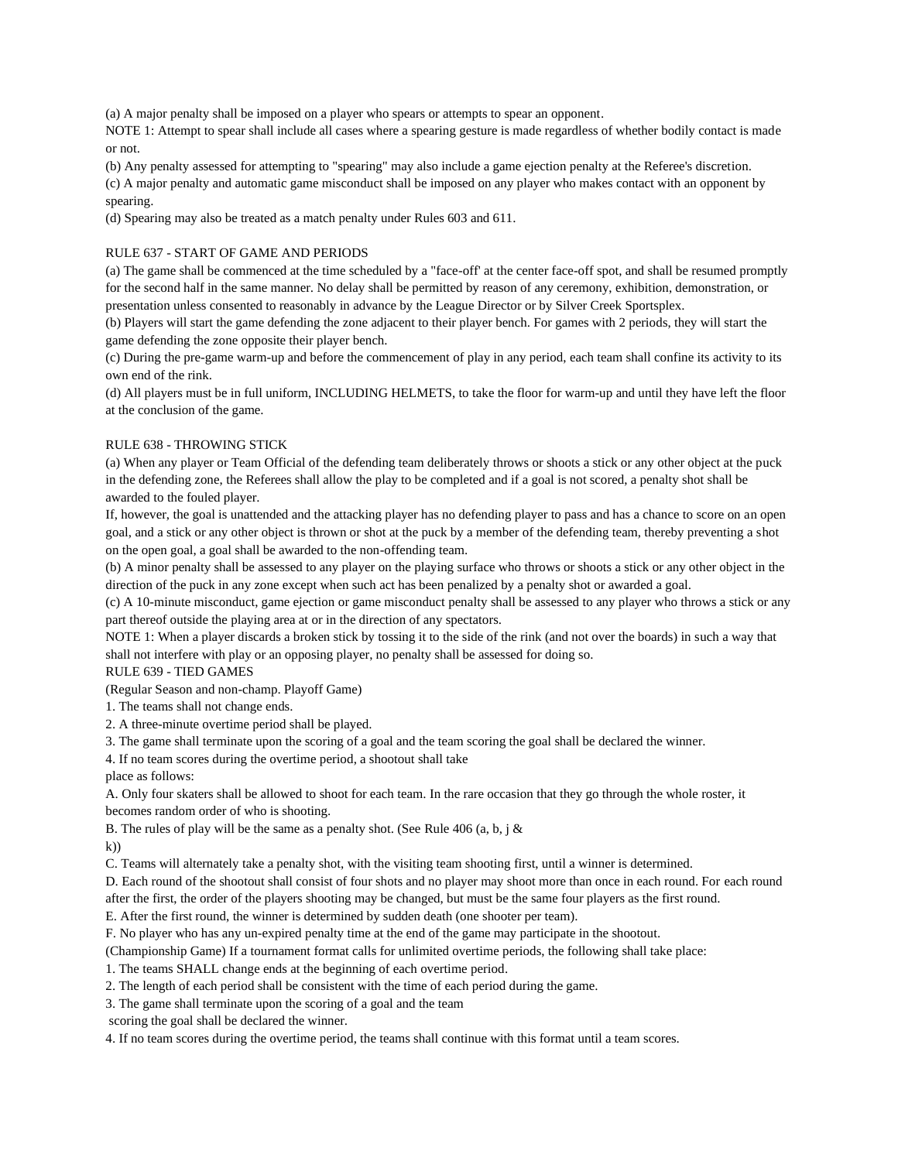(a) A major penalty shall be imposed on a player who spears or attempts to spear an opponent.

NOTE 1: Attempt to spear shall include all cases where a spearing gesture is made regardless of whether bodily contact is made or not.

(b) Any penalty assessed for attempting to "spearing" may also include a game ejection penalty at the Referee's discretion.

(c) A major penalty and automatic game misconduct shall be imposed on any player who makes contact with an opponent by spearing.

(d) Spearing may also be treated as a match penalty under Rules 603 and 611.

## RULE 637 - START OF GAME AND PERIODS

(a) The game shall be commenced at the time scheduled by a "face-off' at the center face-off spot, and shall be resumed promptly for the second half in the same manner. No delay shall be permitted by reason of any ceremony, exhibition, demonstration, or presentation unless consented to reasonably in advance by the League Director or by Silver Creek Sportsplex.

(b) Players will start the game defending the zone adjacent to their player bench. For games with 2 periods, they will start the game defending the zone opposite their player bench.

(c) During the pre-game warm-up and before the commencement of play in any period, each team shall confine its activity to its own end of the rink.

(d) All players must be in full uniform, INCLUDING HELMETS, to take the floor for warm-up and until they have left the floor at the conclusion of the game.

#### RULE 638 - THROWING STICK

(a) When any player or Team Official of the defending team deliberately throws or shoots a stick or any other object at the puck in the defending zone, the Referees shall allow the play to be completed and if a goal is not scored, a penalty shot shall be awarded to the fouled player.

If, however, the goal is unattended and the attacking player has no defending player to pass and has a chance to score on an open goal, and a stick or any other object is thrown or shot at the puck by a member of the defending team, thereby preventing a shot on the open goal, a goal shall be awarded to the non-offending team.

(b) A minor penalty shall be assessed to any player on the playing surface who throws or shoots a stick or any other object in the direction of the puck in any zone except when such act has been penalized by a penalty shot or awarded a goal.

(c) A 10-minute misconduct, game ejection or game misconduct penalty shall be assessed to any player who throws a stick or any part thereof outside the playing area at or in the direction of any spectators.

NOTE 1: When a player discards a broken stick by tossing it to the side of the rink (and not over the boards) in such a way that shall not interfere with play or an opposing player, no penalty shall be assessed for doing so.

RULE 639 - TIED GAMES

(Regular Season and non-champ. Playoff Game)

1. The teams shall not change ends.

2. A three-minute overtime period shall be played.

3. The game shall terminate upon the scoring of a goal and the team scoring the goal shall be declared the winner.

4. If no team scores during the overtime period, a shootout shall take

place as follows:

A. Only four skaters shall be allowed to shoot for each team. In the rare occasion that they go through the whole roster, it becomes random order of who is shooting.

B. The rules of play will be the same as a penalty shot. (See Rule 406 (a, b, j  $\&$ 

k))

C. Teams will alternately take a penalty shot, with the visiting team shooting first, until a winner is determined.

D. Each round of the shootout shall consist of four shots and no player may shoot more than once in each round. For each round

after the first, the order of the players shooting may be changed, but must be the same four players as the first round.

E. After the first round, the winner is determined by sudden death (one shooter per team).

F. No player who has any un-expired penalty time at the end of the game may participate in the shootout.

(Championship Game) If a tournament format calls for unlimited overtime periods, the following shall take place:

1. The teams SHALL change ends at the beginning of each overtime period.

2. The length of each period shall be consistent with the time of each period during the game.

3. The game shall terminate upon the scoring of a goal and the team

scoring the goal shall be declared the winner.

4. If no team scores during the overtime period, the teams shall continue with this format until a team scores.